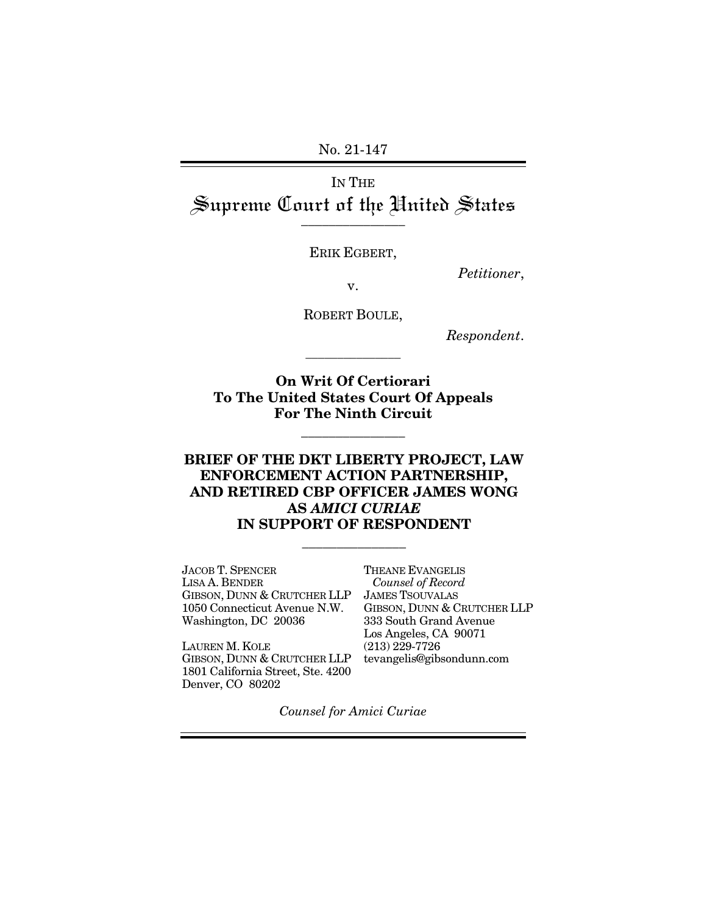No. 21-147

IN THE Supreme Court of the Hnited States

ERIK EGBERT,

*Petitioner*, v.

ROBERT BOULE,

\_\_\_\_\_\_\_\_\_\_\_\_\_\_\_

*Respondent*.

**On Writ Of Certiorari To The United States Court Of Appeals For The Ninth Circuit** 

\_\_\_\_\_\_\_\_\_\_\_\_\_\_\_

#### **BRIEF OF THE DKT LIBERTY PROJECT, LAW ENFORCEMENT ACTION PARTNERSHIP, AND RETIRED CBP OFFICER JAMES WONG AS** *AMICI CURIAE* **IN SUPPORT OF RESPONDENT**

\_\_\_\_\_\_\_\_\_\_\_\_\_\_\_

JACOB T. SPENCER LISA A. BENDER GIBSON, DUNN & CRUTCHER LLP 1050 Connecticut Avenue N.W. Washington, DC 20036

LAUREN M. KOLE GIBSON, DUNN & CRUTCHER LLP 1801 California Street, Ste. 4200 Denver, CO 80202

THEANE EVANGELIS  *Counsel of Record*  JAMES TSOUVALAS GIBSON, DUNN & CRUTCHER LLP 333 South Grand Avenue Los Angeles, CA 90071 (213) 229-7726 tevangelis@gibsondunn.com

*Counsel for Amici Curiae*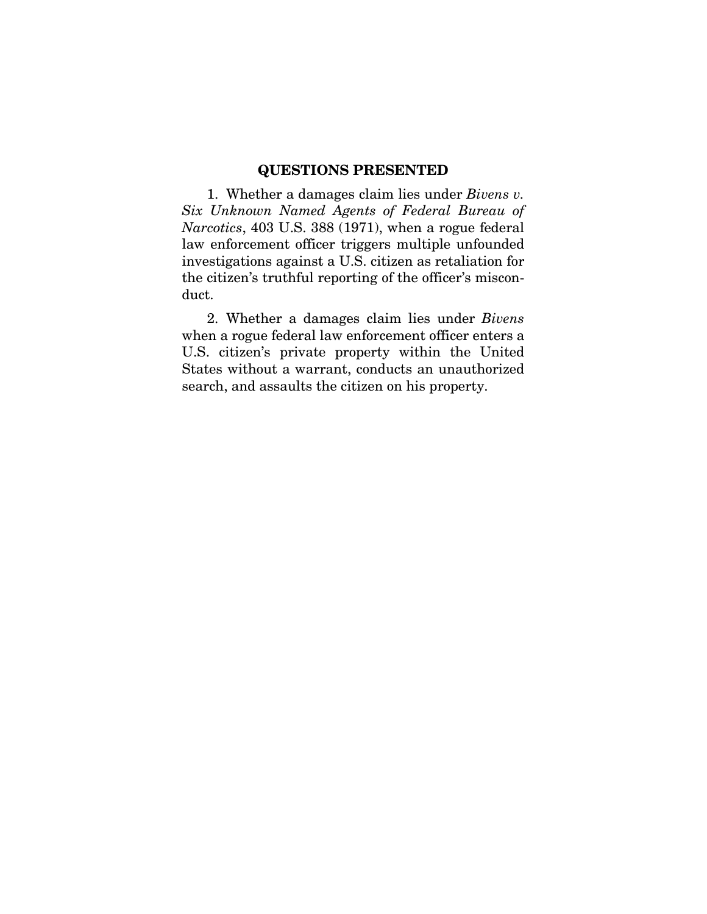#### **QUESTIONS PRESENTED**

1. Whether a damages claim lies under *Bivens v. Six Unknown Named Agents of Federal Bureau of Narcotics*, 403 U.S. 388 (1971), when a rogue federal law enforcement officer triggers multiple unfounded investigations against a U.S. citizen as retaliation for the citizen's truthful reporting of the officer's misconduct.

2. Whether a damages claim lies under *Bivens* when a rogue federal law enforcement officer enters a U.S. citizen's private property within the United States without a warrant, conducts an unauthorized search, and assaults the citizen on his property.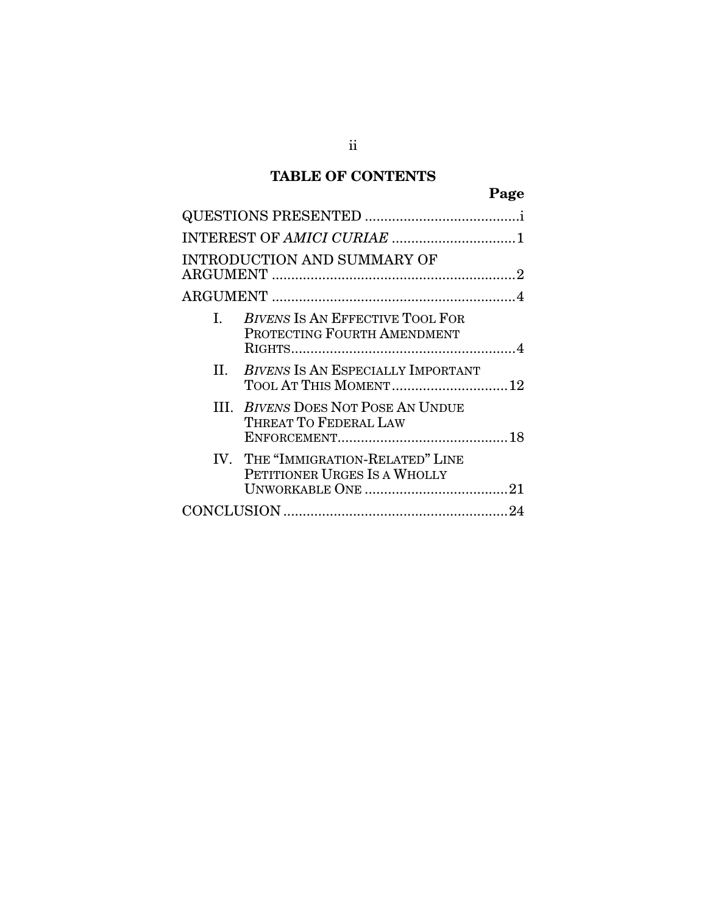### **TABLE OF CONTENTS**

|              | <b>INTRODUCTION AND SUMMARY OF</b>                                 |  |
|--------------|--------------------------------------------------------------------|--|
|              |                                                                    |  |
| $\mathbf{L}$ | BIVENS IS AN EFFECTIVE TOOL FOR<br>PROTECTING FOURTH AMENDMENT     |  |
|              | II. BIVENS IS AN ESPECIALLY IMPORTANT<br>TOOL AT THIS MOMENT 12    |  |
|              | <b>III. BIVENS DOES NOT POSE AN UNDUE</b><br>THREAT TO FEDERAL LAW |  |
|              | IV. THE "IMMIGRATION-RELATED" LINE<br>PETITIONER URGES IS A WHOLLY |  |
|              |                                                                    |  |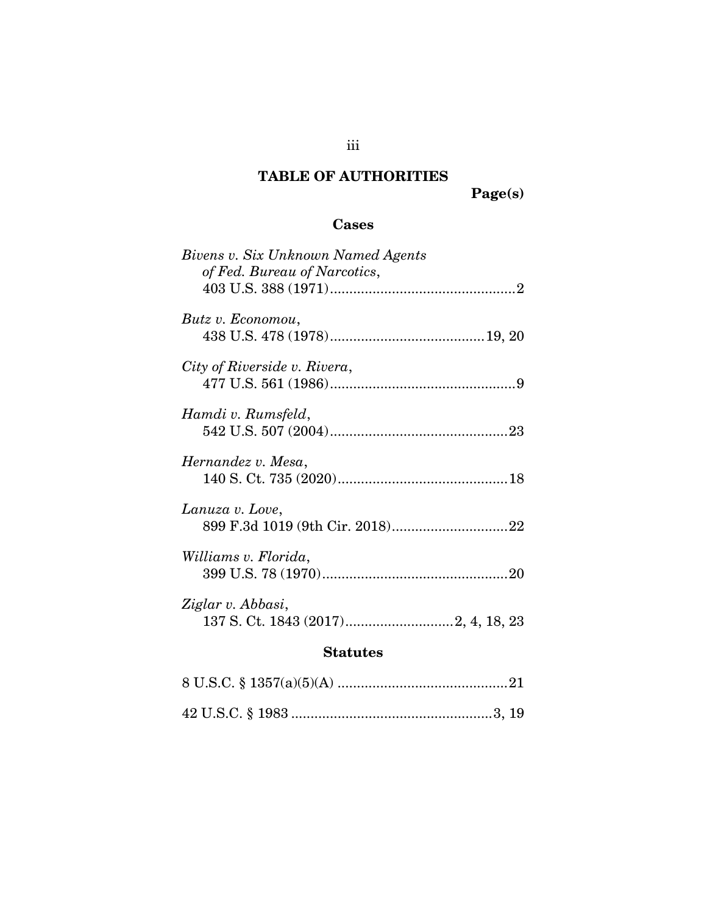## **TABLE OF AUTHORITIES**

**Page(s)** 

### **Cases**

| Bivens v. Six Unknown Named Agents<br>of Fed. Bureau of Narcotics, |
|--------------------------------------------------------------------|
| Butz v. Economou,                                                  |
| City of Riverside v. Rivera,                                       |
| Hamdi v. Rumsfeld,                                                 |
| Hernandez v. Mesa,                                                 |
| Lanuza v. Love,                                                    |
| Williams v. Florida,                                               |
| Ziglar v. Abbasi,                                                  |

### **Statutes**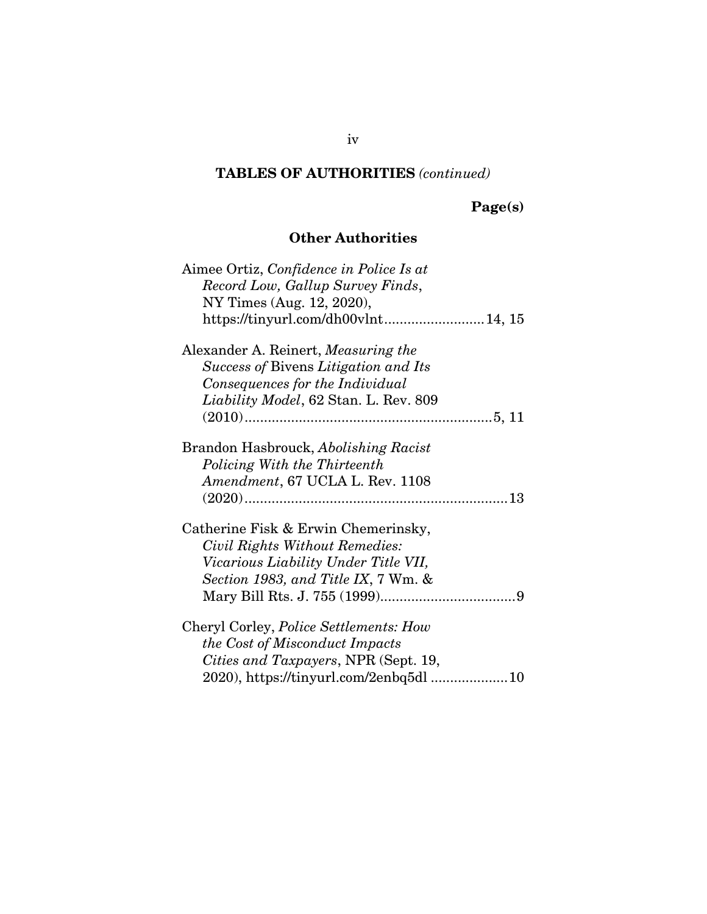# **Page(s)**

### **Other Authorities**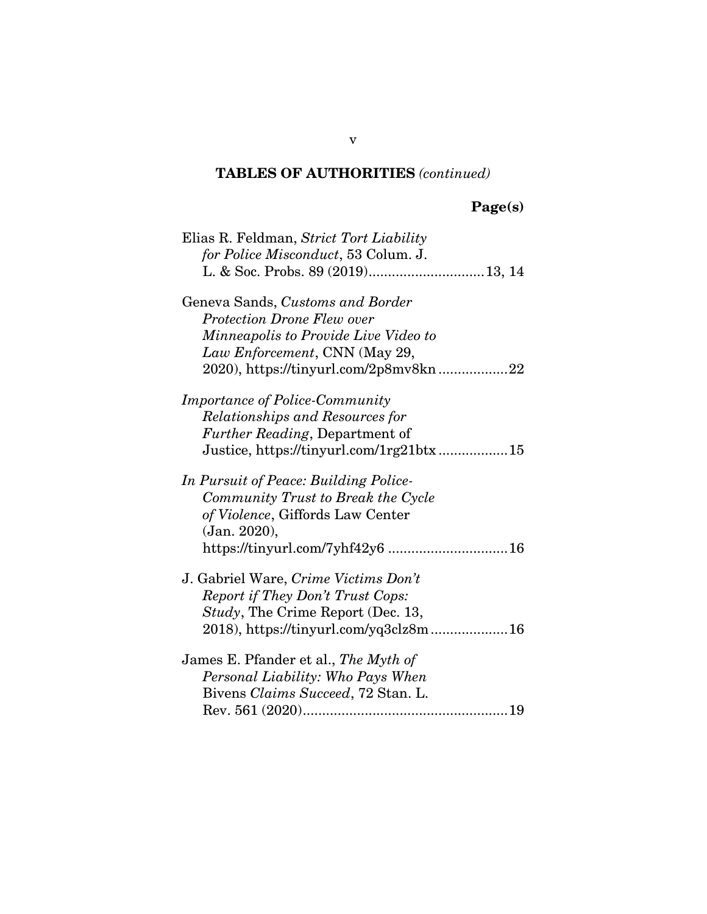# **Page(s)**

| Elias R. Feldman, Strict Tort Liability |
|-----------------------------------------|
| for Police Misconduct, 53 Colum. J.     |
|                                         |
| Geneva Sands, Customs and Border        |
| <b>Protection Drone Flew over</b>       |
| Minneapolis to Provide Live Video to    |
| Law Enforcement, CNN (May 29,           |
| 2020), https://tinyurl.com/2p8mv8kn22   |
| <b>Importance of Police-Community</b>   |
| Relationships and Resources for         |
| <i>Further Reading</i> , Department of  |
| Justice, https://tinyurl.com/1rg21btx15 |
| In Pursuit of Peace: Building Police-   |
| Community Trust to Break the Cycle      |
| of Violence, Giffords Law Center        |
| (Jan. 2020),                            |
| https://tinyurl.com/7yhf42y6  16        |
| J. Gabriel Ware, Crime Victims Don't    |
| Report if They Don't Trust Cops:        |
| Study, The Crime Report (Dec. 13,       |
| 2018), https://tinyurl.com/yq3clz8m16   |
| James E. Pfander et al., The Myth of    |
| Personal Liability: Who Pays When       |
| Bivens Claims Succeed, 72 Stan. L.      |
|                                         |

v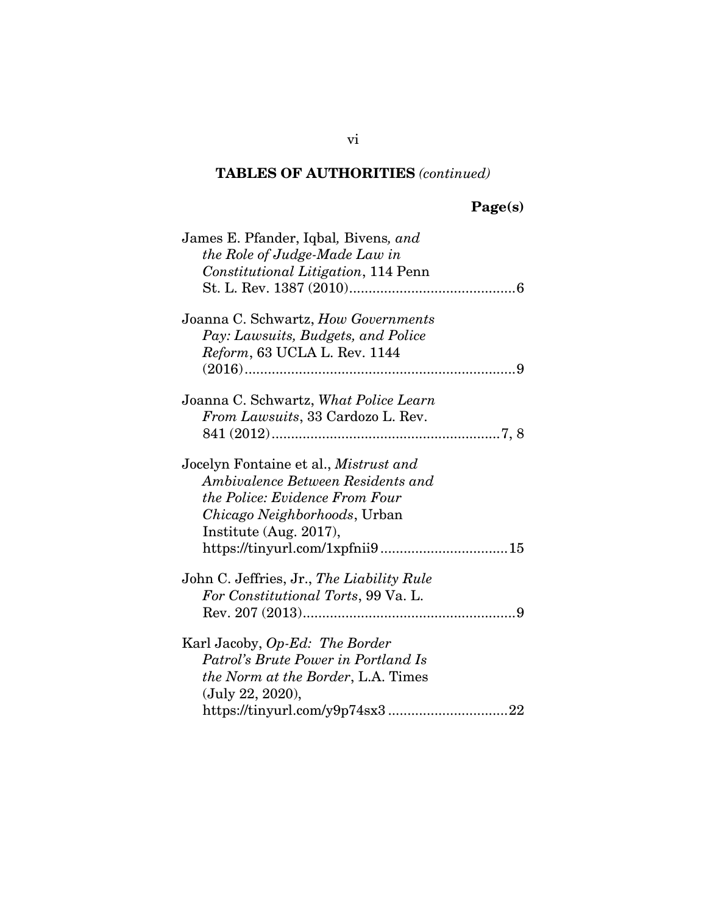# **Page(s)**

| James E. Pfander, Iqbal, Bivens, and         |
|----------------------------------------------|
| the Role of Judge-Made Law in                |
| Constitutional Litigation, 114 Penn          |
|                                              |
|                                              |
| Joanna C. Schwartz, How Governments          |
| Pay: Lawsuits, Budgets, and Police           |
| Reform, 63 UCLA L. Rev. 1144                 |
|                                              |
| Joanna C. Schwartz, What Police Learn        |
|                                              |
| From Lawsuits, 33 Cardozo L. Rev.            |
|                                              |
| Jocelyn Fontaine et al., <i>Mistrust and</i> |
| Ambivalence Between Residents and            |
| the Police: Evidence From Four               |
| Chicago Neighborhoods, Urban                 |
| Institute (Aug. 2017),                       |
| https://tinyurl.com/1xpfnii915               |
| John C. Jeffries, Jr., The Liability Rule    |
| For Constitutional Torts, 99 Va. L.          |
|                                              |
|                                              |
| Karl Jacoby, Op-Ed: The Border               |
| Patrol's Brute Power in Portland Is          |
| <i>the Norm at the Border, L.A. Times</i>    |
| (July 22, 2020),                             |
|                                              |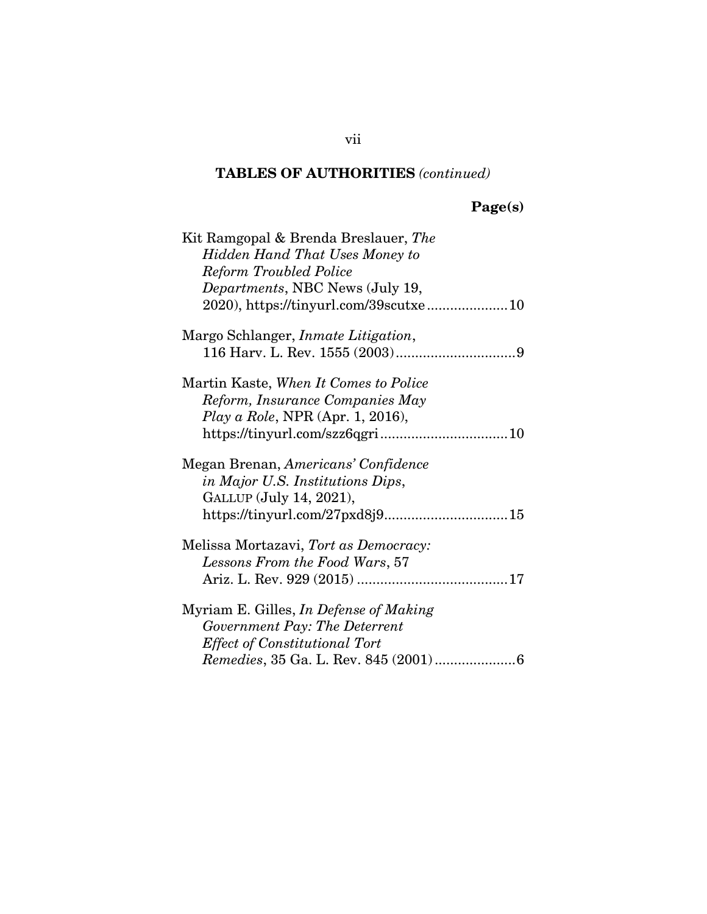# **Page(s)**

| Kit Ramgopal & Brenda Breslauer, The        |
|---------------------------------------------|
| <b>Hidden Hand That Uses Money to</b>       |
| <b>Reform Troubled Police</b>               |
| <i>Departments, NBC News (July 19,</i>      |
|                                             |
| Margo Schlanger, <i>Inmate Litigation</i> , |
|                                             |
| Martin Kaste, When It Comes to Police       |
| Reform, Insurance Companies May             |
| Play a Role, NPR (Apr. 1, 2016),            |
|                                             |
| Megan Brenan, Americans' Confidence         |
| in Major U.S. Institutions Dips,            |
| GALLUP (July 14, 2021),                     |
|                                             |
| Melissa Mortazavi, Tort as Democracy:       |
| Lessons From the Food Wars, 57              |
|                                             |
| Myriam E. Gilles, In Defense of Making      |
| Government Pay: The Deterrent               |
| <b>Effect of Constitutional Tort</b>        |
|                                             |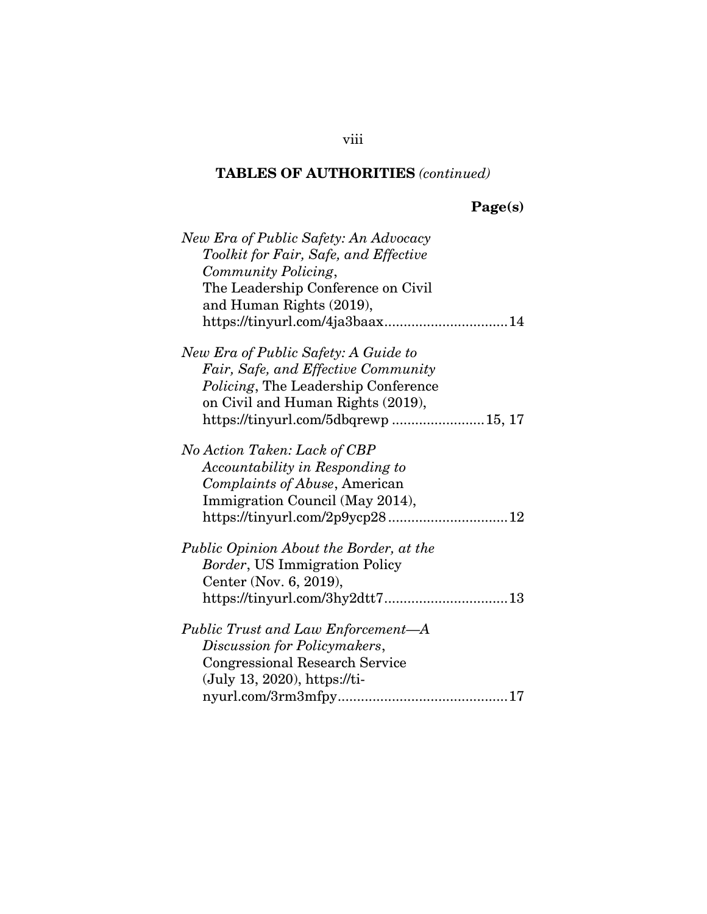# **Page(s)**

| New Era of Public Safety: An Advocacy                                                                                                                                                                                                                  |
|--------------------------------------------------------------------------------------------------------------------------------------------------------------------------------------------------------------------------------------------------------|
| Toolkit for Fair, Safe, and Effective                                                                                                                                                                                                                  |
| Community Policing,                                                                                                                                                                                                                                    |
| The Leadership Conference on Civil                                                                                                                                                                                                                     |
| and Human Rights (2019),                                                                                                                                                                                                                               |
|                                                                                                                                                                                                                                                        |
| New Era of Public Safety: A Guide to                                                                                                                                                                                                                   |
| Fair, Safe, and Effective Community                                                                                                                                                                                                                    |
| <i>Policing</i> , The Leadership Conference                                                                                                                                                                                                            |
| on Civil and Human Rights (2019),                                                                                                                                                                                                                      |
| https://tinyurl.com/5dbqrewp15, 17                                                                                                                                                                                                                     |
| No Action Taken: Lack of CBP                                                                                                                                                                                                                           |
| Accountability in Responding to                                                                                                                                                                                                                        |
| Complaints of Abuse, American                                                                                                                                                                                                                          |
| Immigration Council (May 2014),                                                                                                                                                                                                                        |
|                                                                                                                                                                                                                                                        |
| Public Opinion About the Border, at the                                                                                                                                                                                                                |
| <i>Border</i> , US Immigration Policy                                                                                                                                                                                                                  |
| Center (Nov. 6, 2019),                                                                                                                                                                                                                                 |
|                                                                                                                                                                                                                                                        |
| Public Trust and Law Enforcement-A                                                                                                                                                                                                                     |
| Discussion for Policymakers,                                                                                                                                                                                                                           |
| <b>Congressional Research Service</b>                                                                                                                                                                                                                  |
| $(July 13, 2020), <a href="https://tii-10.10117-00117-00117-00117-00117-00117-00117-00117-00117-00117-00117-00117-00117-00117-00117-00117-00117-00117-00117-00117-00117-00117-00117-00117-00117-00117-00117-00117-00117-00117-00117-00117-0011</math>$ |
|                                                                                                                                                                                                                                                        |

### viii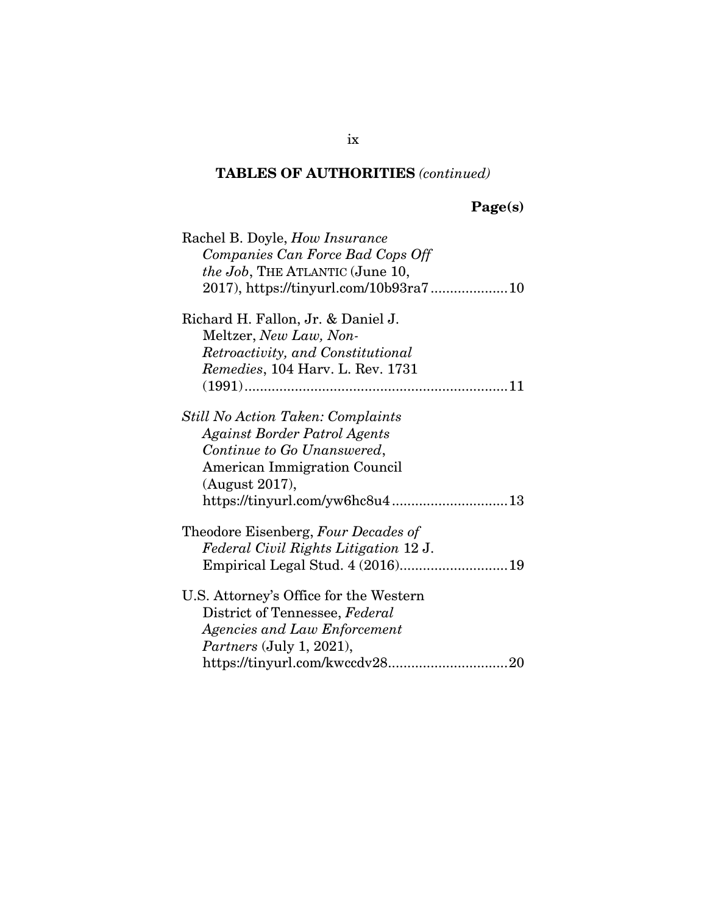# **Page(s)**

| Rachel B. Doyle, <i>How Insurance</i>    |
|------------------------------------------|
| Companies Can Force Bad Cops Off         |
| <i>the Job</i> , THE ATLANTIC (June 10,  |
|                                          |
| Richard H. Fallon, Jr. & Daniel J.       |
| Meltzer, New Law, Non-                   |
| Retroactivity, and Constitutional        |
| Remedies, 104 Harv. L. Rev. 1731         |
|                                          |
| <b>Still No Action Taken: Complaints</b> |
| Against Border Patrol Agents             |
| Continue to Go Unanswered,               |
| <b>American Immigration Council</b>      |
| (August 2017),                           |
|                                          |
| Theodore Eisenberg, Four Decades of      |
| Federal Civil Rights Litigation 12 J.    |
|                                          |
| U.S. Attorney's Office for the Western   |
| District of Tennessee, Federal           |
| Agencies and Law Enforcement             |
| <i>Partners</i> (July 1, 2021),          |
|                                          |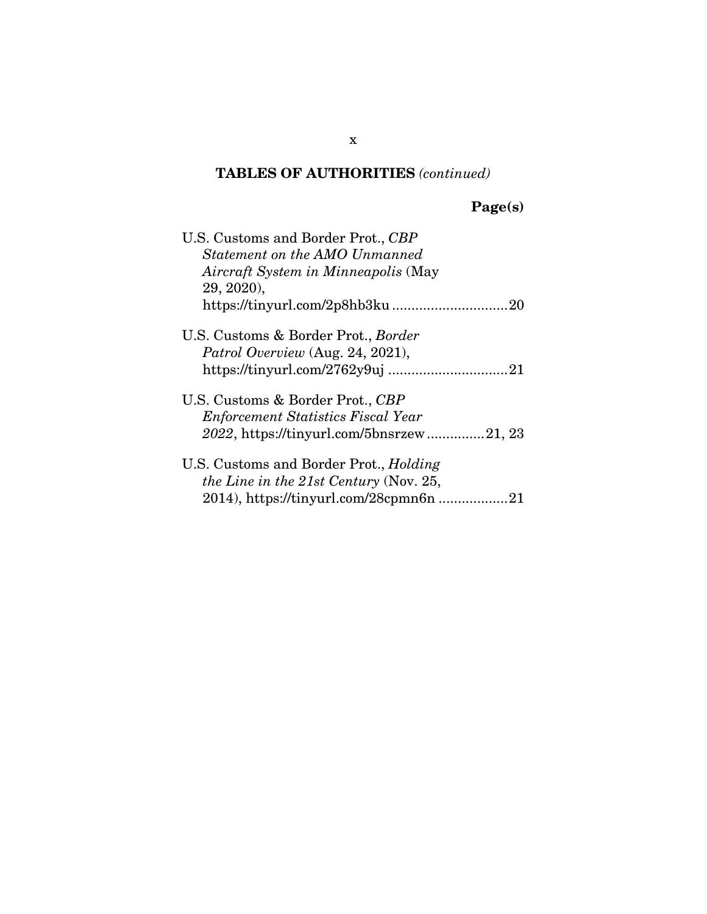# **Page(s)**

| U.S. Customs and Border Prot., CBP            |
|-----------------------------------------------|
| Statement on the AMO Unmanned                 |
| Aircraft System in Minneapolis (May           |
| 29, 2020).                                    |
|                                               |
| U.S. Customs & Border Prot., <i>Border</i>    |
| Patrol Overview (Aug. 24, 2021),              |
|                                               |
| U.S. Customs & Border Prot., CBP              |
| <b>Enforcement Statistics Fiscal Year</b>     |
| 2022, https://tinyurl.com/5bnsrzew21, 23      |
| U.S. Customs and Border Prot., <i>Holding</i> |
| <i>the Line in the 21st Century</i> (Nov. 25, |
| 2014), https://tinyurl.com/28cpmn6n 21        |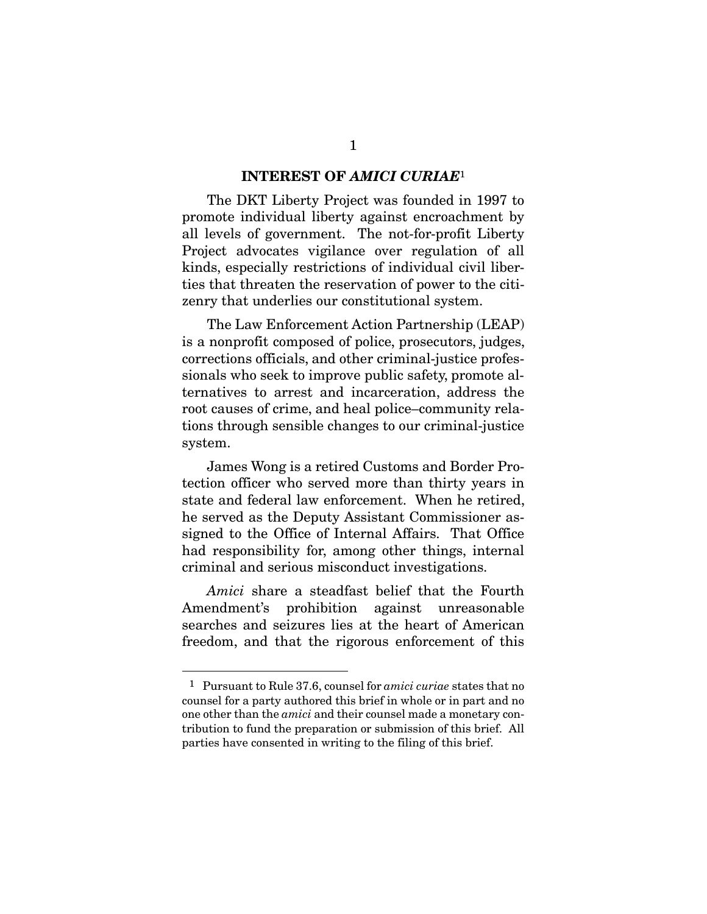#### **INTEREST OF** *AMICI CURIAE*<sup>1</sup>

The DKT Liberty Project was founded in 1997 to promote individual liberty against encroachment by all levels of government. The not-for-profit Liberty Project advocates vigilance over regulation of all kinds, especially restrictions of individual civil liberties that threaten the reservation of power to the citizenry that underlies our constitutional system.

The Law Enforcement Action Partnership (LEAP) is a nonprofit composed of police, prosecutors, judges, corrections officials, and other criminal-justice professionals who seek to improve public safety, promote alternatives to arrest and incarceration, address the root causes of crime, and heal police–community relations through sensible changes to our criminal-justice system.

James Wong is a retired Customs and Border Protection officer who served more than thirty years in state and federal law enforcement. When he retired, he served as the Deputy Assistant Commissioner assigned to the Office of Internal Affairs. That Office had responsibility for, among other things, internal criminal and serious misconduct investigations.

*Amici* share a steadfast belief that the Fourth Amendment's prohibition against unreasonable searches and seizures lies at the heart of American freedom, and that the rigorous enforcement of this

 $\overline{a}$ 

<sup>1</sup> Pursuant to Rule 37.6, counsel for *amici curiae* states that no counsel for a party authored this brief in whole or in part and no one other than the *amici* and their counsel made a monetary contribution to fund the preparation or submission of this brief. All parties have consented in writing to the filing of this brief.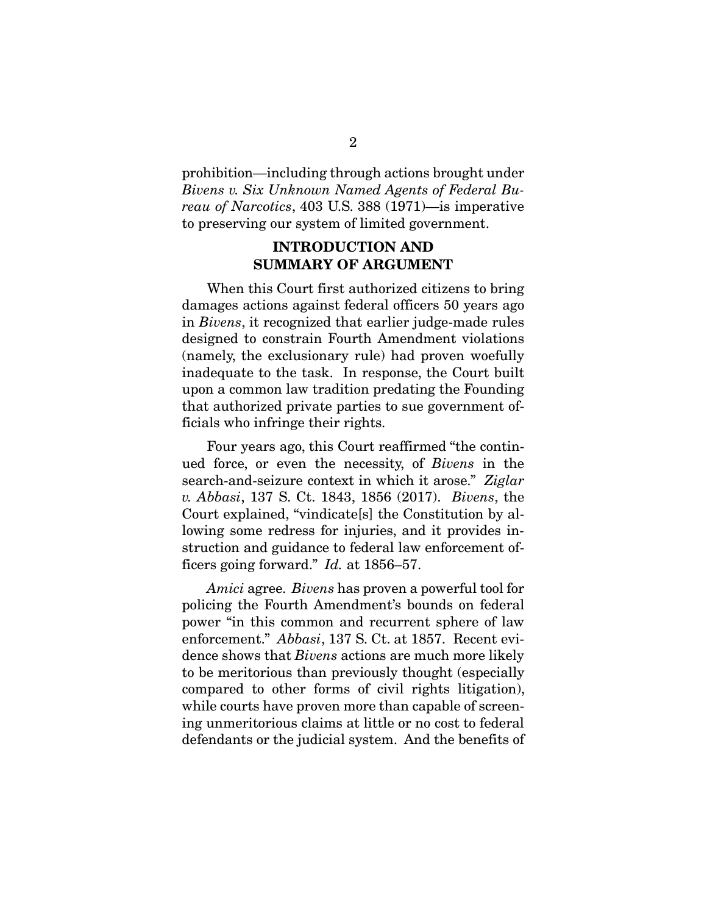prohibition—including through actions brought under *Bivens v. Six Unknown Named Agents of Federal Bureau of Narcotics*, 403 U.S. 388 (1971)—is imperative to preserving our system of limited government.

#### **INTRODUCTION AND SUMMARY OF ARGUMENT**

When this Court first authorized citizens to bring damages actions against federal officers 50 years ago in *Bivens*, it recognized that earlier judge-made rules designed to constrain Fourth Amendment violations (namely, the exclusionary rule) had proven woefully inadequate to the task. In response, the Court built upon a common law tradition predating the Founding that authorized private parties to sue government officials who infringe their rights.

Four years ago, this Court reaffirmed "the continued force, or even the necessity, of *Bivens* in the search-and-seizure context in which it arose." *Ziglar v. Abbasi*, 137 S. Ct. 1843, 1856 (2017). *Bivens*, the Court explained, "vindicate[s] the Constitution by allowing some redress for injuries, and it provides instruction and guidance to federal law enforcement officers going forward." *Id.* at 1856–57.

*Amici* agree. *Bivens* has proven a powerful tool for policing the Fourth Amendment's bounds on federal power "in this common and recurrent sphere of law enforcement." *Abbasi*, 137 S. Ct. at 1857. Recent evidence shows that *Bivens* actions are much more likely to be meritorious than previously thought (especially compared to other forms of civil rights litigation), while courts have proven more than capable of screening unmeritorious claims at little or no cost to federal defendants or the judicial system. And the benefits of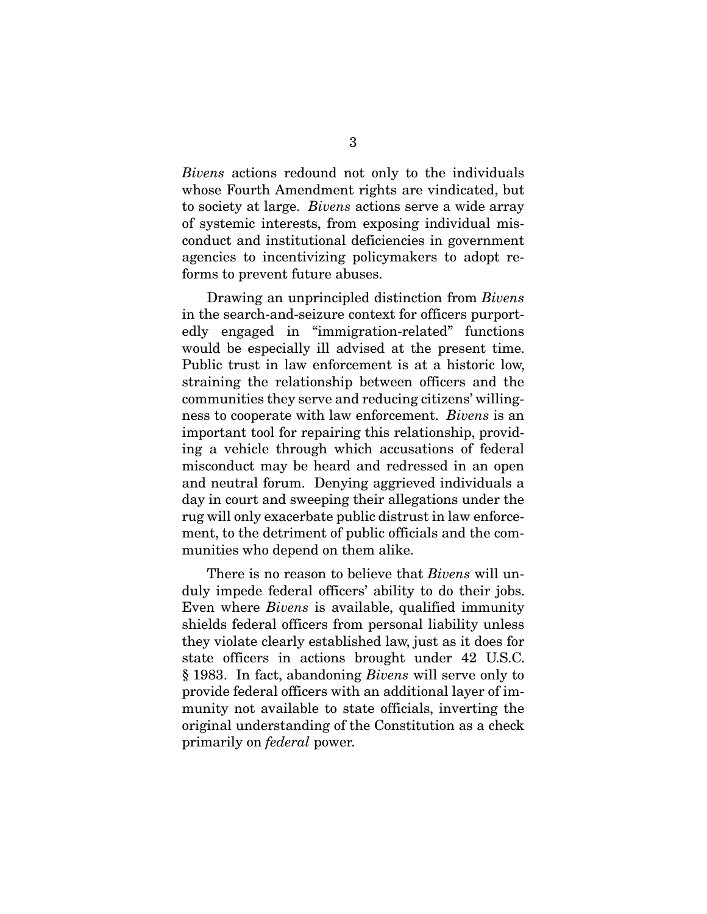*Bivens* actions redound not only to the individuals whose Fourth Amendment rights are vindicated, but to society at large. *Bivens* actions serve a wide array of systemic interests, from exposing individual misconduct and institutional deficiencies in government agencies to incentivizing policymakers to adopt reforms to prevent future abuses.

Drawing an unprincipled distinction from *Bivens*  in the search-and-seizure context for officers purportedly engaged in "immigration-related" functions would be especially ill advised at the present time. Public trust in law enforcement is at a historic low, straining the relationship between officers and the communities they serve and reducing citizens' willingness to cooperate with law enforcement. *Bivens* is an important tool for repairing this relationship, providing a vehicle through which accusations of federal misconduct may be heard and redressed in an open and neutral forum. Denying aggrieved individuals a day in court and sweeping their allegations under the rug will only exacerbate public distrust in law enforcement, to the detriment of public officials and the communities who depend on them alike.

There is no reason to believe that *Bivens* will unduly impede federal officers' ability to do their jobs. Even where *Bivens* is available, qualified immunity shields federal officers from personal liability unless they violate clearly established law, just as it does for state officers in actions brought under 42 U.S.C. § 1983. In fact, abandoning *Bivens* will serve only to provide federal officers with an additional layer of immunity not available to state officials, inverting the original understanding of the Constitution as a check primarily on *federal* power.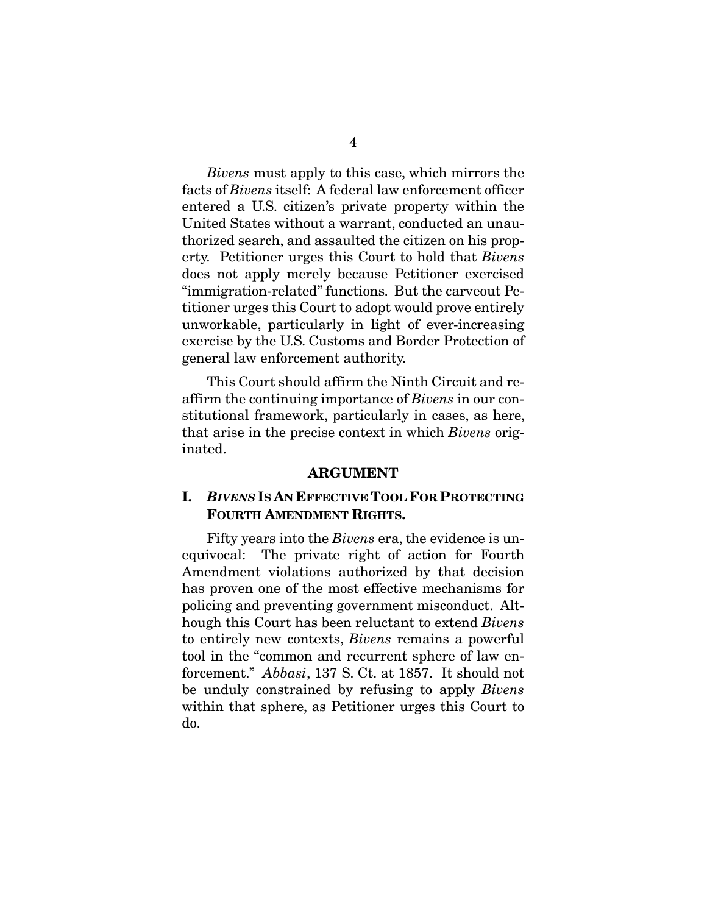*Bivens* must apply to this case, which mirrors the facts of *Bivens* itself: A federal law enforcement officer entered a U.S. citizen's private property within the United States without a warrant, conducted an unauthorized search, and assaulted the citizen on his property. Petitioner urges this Court to hold that *Bivens*  does not apply merely because Petitioner exercised "immigration-related" functions. But the carveout Petitioner urges this Court to adopt would prove entirely unworkable, particularly in light of ever-increasing exercise by the U.S. Customs and Border Protection of general law enforcement authority.

This Court should affirm the Ninth Circuit and reaffirm the continuing importance of *Bivens* in our constitutional framework, particularly in cases, as here, that arise in the precise context in which *Bivens* originated.

#### **ARGUMENT**

#### **I.** *BIVENS* **IS AN EFFECTIVE TOOL FOR PROTECTING FOURTH AMENDMENT RIGHTS.**

Fifty years into the *Bivens* era, the evidence is unequivocal: The private right of action for Fourth Amendment violations authorized by that decision has proven one of the most effective mechanisms for policing and preventing government misconduct. Although this Court has been reluctant to extend *Bivens*  to entirely new contexts, *Bivens* remains a powerful tool in the "common and recurrent sphere of law enforcement." *Abbasi*, 137 S. Ct. at 1857. It should not be unduly constrained by refusing to apply *Bivens*  within that sphere, as Petitioner urges this Court to do.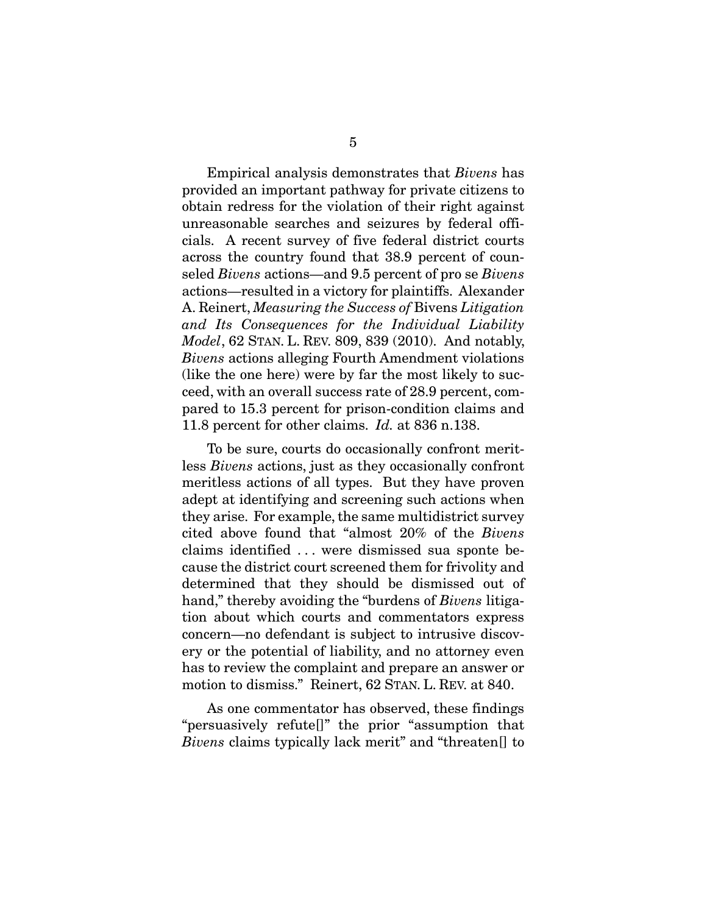Empirical analysis demonstrates that *Bivens* has provided an important pathway for private citizens to obtain redress for the violation of their right against unreasonable searches and seizures by federal officials. A recent survey of five federal district courts across the country found that 38.9 percent of counseled *Bivens* actions—and 9.5 percent of pro se *Bivens*  actions—resulted in a victory for plaintiffs. Alexander A. Reinert, *Measuring the Success of* Bivens *Litigation and Its Consequences for the Individual Liability Model*, 62 STAN. L. REV. 809, 839 (2010). And notably, *Bivens* actions alleging Fourth Amendment violations (like the one here) were by far the most likely to succeed, with an overall success rate of 28.9 percent, compared to 15.3 percent for prison-condition claims and 11.8 percent for other claims. *Id.* at 836 n.138.

To be sure, courts do occasionally confront meritless *Bivens* actions, just as they occasionally confront meritless actions of all types. But they have proven adept at identifying and screening such actions when they arise. For example, the same multidistrict survey cited above found that "almost 20% of the *Bivens*  claims identified . . . were dismissed sua sponte because the district court screened them for frivolity and determined that they should be dismissed out of hand," thereby avoiding the "burdens of *Bivens* litigation about which courts and commentators express concern—no defendant is subject to intrusive discovery or the potential of liability, and no attorney even has to review the complaint and prepare an answer or motion to dismiss." Reinert, 62 STAN. L. REV. at 840.

As one commentator has observed, these findings "persuasively refute[]" the prior "assumption that *Bivens* claims typically lack merit" and "threaten[] to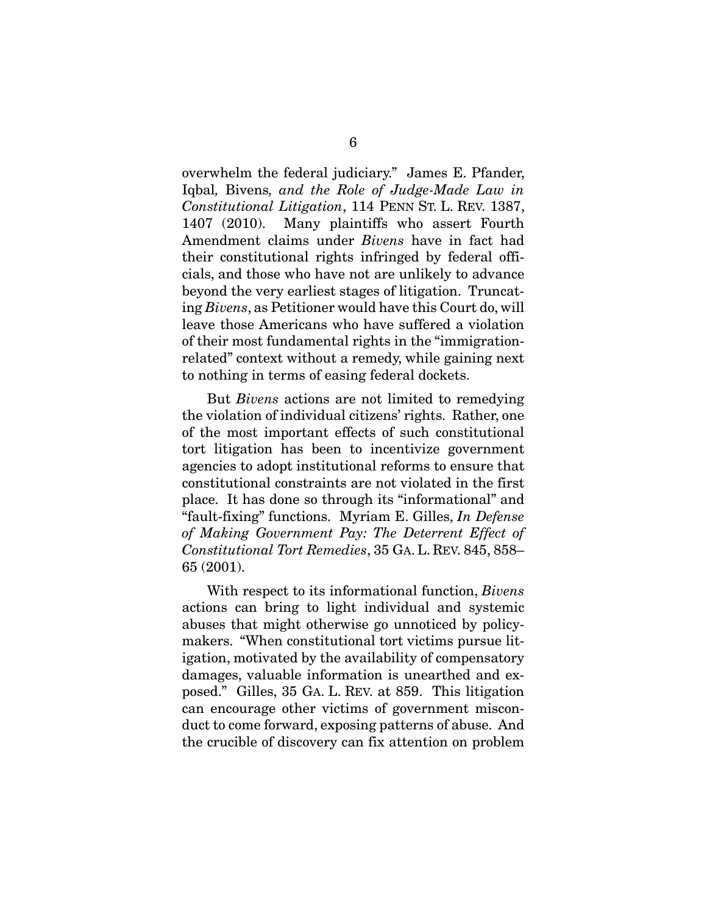overwhelm the federal judiciary." James E. Pfander, Iqbal*,* Bivens*, and the Role of Judge-Made Law in Constitutional Litigation*, 114 PENN ST. L. REV. 1387, 1407 (2010). Many plaintiffs who assert Fourth Amendment claims under *Bivens* have in fact had their constitutional rights infringed by federal officials, and those who have not are unlikely to advance beyond the very earliest stages of litigation. Truncating *Bivens*, as Petitioner would have this Court do, will leave those Americans who have suffered a violation of their most fundamental rights in the "immigrationrelated" context without a remedy, while gaining next to nothing in terms of easing federal dockets.

But *Bivens* actions are not limited to remedying the violation of individual citizens' rights. Rather, one of the most important effects of such constitutional tort litigation has been to incentivize government agencies to adopt institutional reforms to ensure that constitutional constraints are not violated in the first place. It has done so through its "informational" and "fault-fixing" functions. Myriam E. Gilles, *In Defense of Making Government Pay: The Deterrent Effect of Constitutional Tort Remedies*, 35 GA.L. REV. 845, 858– 65 (2001).

With respect to its informational function, *Bivens*  actions can bring to light individual and systemic abuses that might otherwise go unnoticed by policymakers. "When constitutional tort victims pursue litigation, motivated by the availability of compensatory damages, valuable information is unearthed and exposed." Gilles, 35 GA. L. REV. at 859. This litigation can encourage other victims of government misconduct to come forward, exposing patterns of abuse. And the crucible of discovery can fix attention on problem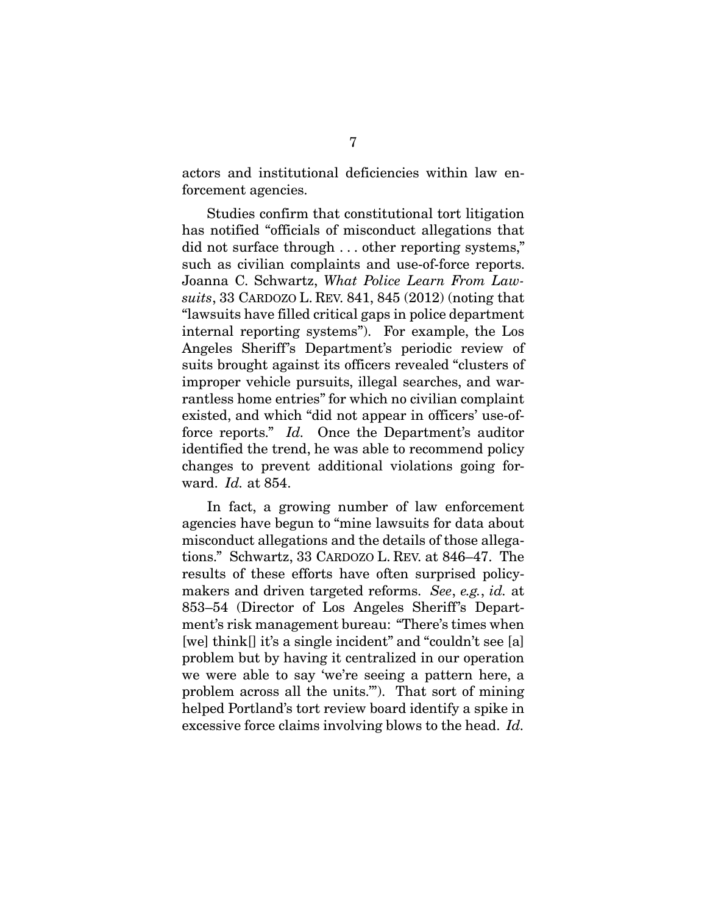actors and institutional deficiencies within law enforcement agencies.

Studies confirm that constitutional tort litigation has notified "officials of misconduct allegations that did not surface through . . . other reporting systems," such as civilian complaints and use-of-force reports. Joanna C. Schwartz, *What Police Learn From Lawsuits*, 33 CARDOZO L. REV. 841, 845 (2012) (noting that "lawsuits have filled critical gaps in police department internal reporting systems"). For example, the Los Angeles Sheriff's Department's periodic review of suits brought against its officers revealed "clusters of improper vehicle pursuits, illegal searches, and warrantless home entries" for which no civilian complaint existed, and which "did not appear in officers' use-offorce reports." *Id.* Once the Department's auditor identified the trend, he was able to recommend policy changes to prevent additional violations going forward. *Id.* at 854.

In fact, a growing number of law enforcement agencies have begun to "mine lawsuits for data about misconduct allegations and the details of those allegations." Schwartz, 33 CARDOZO L. REV. at 846–47. The results of these efforts have often surprised policymakers and driven targeted reforms. *See*, *e.g.*, *id.* at 853–54 (Director of Los Angeles Sheriff's Department's risk management bureau: "There's times when [we] think[] it's a single incident" and "couldn't see [a] problem but by having it centralized in our operation we were able to say 'we're seeing a pattern here, a problem across all the units.'"). That sort of mining helped Portland's tort review board identify a spike in excessive force claims involving blows to the head. *Id.*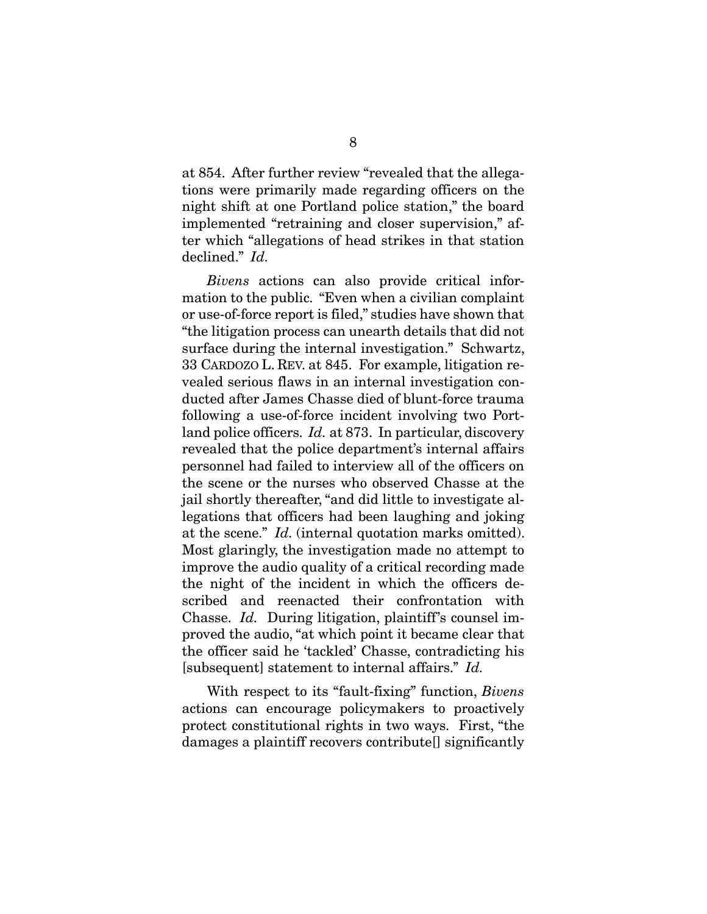at 854. After further review "revealed that the allegations were primarily made regarding officers on the night shift at one Portland police station," the board implemented "retraining and closer supervision," after which "allegations of head strikes in that station declined." *Id.*

*Bivens* actions can also provide critical information to the public. "Even when a civilian complaint or use-of-force report is filed," studies have shown that "the litigation process can unearth details that did not surface during the internal investigation." Schwartz, 33 CARDOZO L. REV. at 845. For example, litigation revealed serious flaws in an internal investigation conducted after James Chasse died of blunt-force trauma following a use-of-force incident involving two Portland police officers. *Id.* at 873. In particular, discovery revealed that the police department's internal affairs personnel had failed to interview all of the officers on the scene or the nurses who observed Chasse at the jail shortly thereafter, "and did little to investigate allegations that officers had been laughing and joking at the scene." *Id.* (internal quotation marks omitted). Most glaringly, the investigation made no attempt to improve the audio quality of a critical recording made the night of the incident in which the officers described and reenacted their confrontation with Chasse. *Id.* During litigation, plaintiff's counsel improved the audio, "at which point it became clear that the officer said he 'tackled' Chasse, contradicting his [subsequent] statement to internal affairs." *Id.*

With respect to its "fault-fixing" function, *Bivens*  actions can encourage policymakers to proactively protect constitutional rights in two ways. First, "the damages a plaintiff recovers contribute[] significantly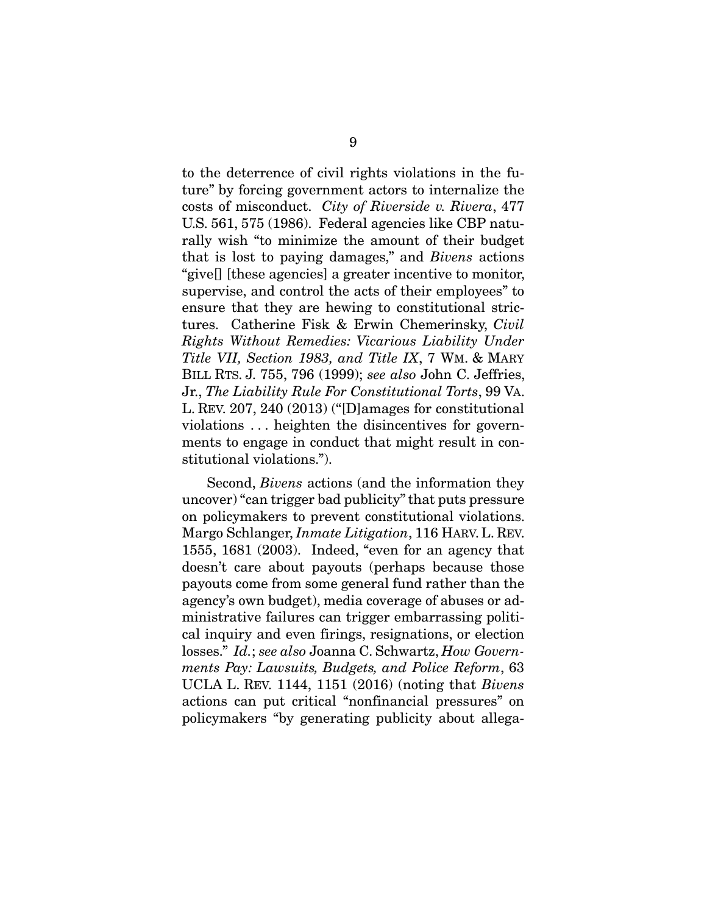to the deterrence of civil rights violations in the future" by forcing government actors to internalize the costs of misconduct. *City of Riverside v. Rivera*, 477 U.S. 561, 575 (1986). Federal agencies like CBP naturally wish "to minimize the amount of their budget that is lost to paying damages," and *Bivens* actions "give[] [these agencies] a greater incentive to monitor, supervise, and control the acts of their employees" to ensure that they are hewing to constitutional strictures. Catherine Fisk & Erwin Chemerinsky, *Civil Rights Without Remedies: Vicarious Liability Under Title VII, Section 1983, and Title IX*, 7 WM. & MARY BILL RTS. J. 755, 796 (1999); *see also* John C. Jeffries, Jr., *The Liability Rule For Constitutional Torts*, 99 VA. L. REV. 207, 240 (2013) ("[D]amages for constitutional violations . . . heighten the disincentives for governments to engage in conduct that might result in constitutional violations.").

Second, *Bivens* actions (and the information they uncover) "can trigger bad publicity" that puts pressure on policymakers to prevent constitutional violations. Margo Schlanger, *Inmate Litigation*, 116 HARV.L. REV. 1555, 1681 (2003). Indeed, "even for an agency that doesn't care about payouts (perhaps because those payouts come from some general fund rather than the agency's own budget), media coverage of abuses or administrative failures can trigger embarrassing political inquiry and even firings, resignations, or election losses." *Id.*; *see also* Joanna C. Schwartz, *How Governments Pay: Lawsuits, Budgets, and Police Reform*, 63 UCLA L. REV. 1144, 1151 (2016) (noting that *Bivens* actions can put critical "nonfinancial pressures" on policymakers "by generating publicity about allega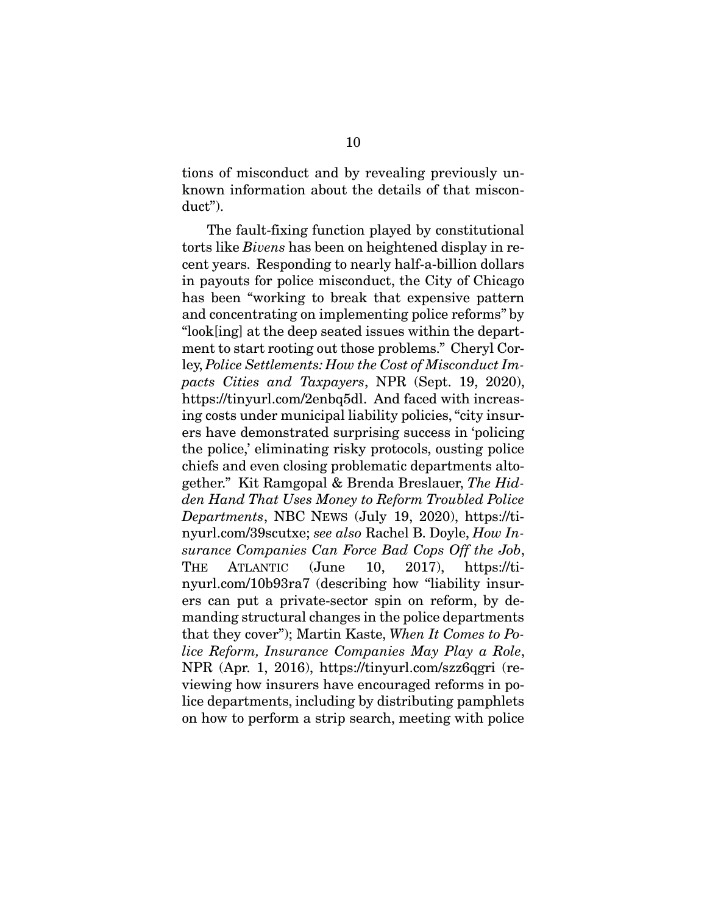tions of misconduct and by revealing previously unknown information about the details of that misconduct").

The fault-fixing function played by constitutional torts like *Bivens* has been on heightened display in recent years. Responding to nearly half-a-billion dollars in payouts for police misconduct, the City of Chicago has been "working to break that expensive pattern and concentrating on implementing police reforms" by "look[ing] at the deep seated issues within the department to start rooting out those problems." Cheryl Corley, *Police Settlements: How the Cost of Misconduct Impacts Cities and Taxpayers*, NPR (Sept. 19, 2020), https://tinyurl.com/2enbq5dl. And faced with increasing costs under municipal liability policies, "city insurers have demonstrated surprising success in 'policing the police,' eliminating risky protocols, ousting police chiefs and even closing problematic departments altogether." Kit Ramgopal & Brenda Breslauer, *The Hidden Hand That Uses Money to Reform Troubled Police Departments*, NBC NEWS (July 19, 2020), https://tinyurl.com/39scutxe; *see also* Rachel B. Doyle, *How Insurance Companies Can Force Bad Cops Off the Job*, THE ATLANTIC (June 10, 2017), https://tinyurl.com/10b93ra7 (describing how "liability insurers can put a private-sector spin on reform, by demanding structural changes in the police departments that they cover"); Martin Kaste, *When It Comes to Police Reform, Insurance Companies May Play a Role*, NPR (Apr. 1, 2016), https://tinyurl.com/szz6qgri (reviewing how insurers have encouraged reforms in police departments, including by distributing pamphlets on how to perform a strip search, meeting with police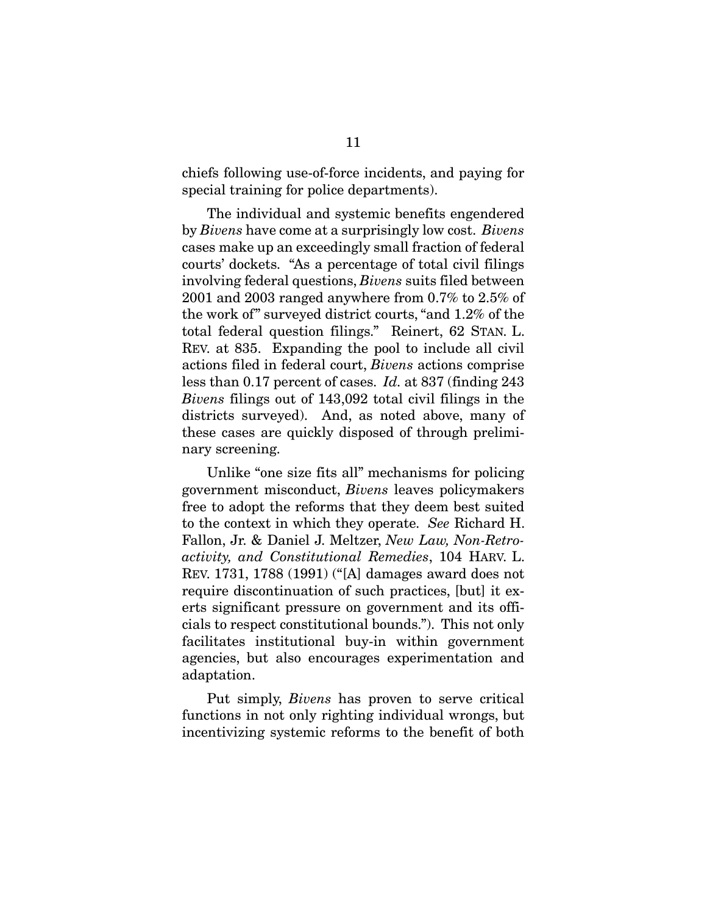chiefs following use-of-force incidents, and paying for special training for police departments).

The individual and systemic benefits engendered by *Bivens* have come at a surprisingly low cost. *Bivens*  cases make up an exceedingly small fraction of federal courts' dockets. "As a percentage of total civil filings involving federal questions, *Bivens* suits filed between 2001 and 2003 ranged anywhere from 0.7% to 2.5% of the work of" surveyed district courts, "and 1.2% of the total federal question filings." Reinert, 62 STAN. L. REV. at 835. Expanding the pool to include all civil actions filed in federal court, *Bivens* actions comprise less than 0.17 percent of cases. *Id.* at 837 (finding 243 *Bivens* filings out of 143,092 total civil filings in the districts surveyed). And, as noted above, many of these cases are quickly disposed of through preliminary screening.

Unlike "one size fits all" mechanisms for policing government misconduct, *Bivens* leaves policymakers free to adopt the reforms that they deem best suited to the context in which they operate. *See* Richard H. Fallon, Jr. & Daniel J. Meltzer, *New Law, Non-Retroactivity, and Constitutional Remedies*, 104 HARV. L. REV. 1731, 1788 (1991) ("[A] damages award does not require discontinuation of such practices, [but] it exerts significant pressure on government and its officials to respect constitutional bounds."). This not only facilitates institutional buy-in within government agencies, but also encourages experimentation and adaptation.

Put simply, *Bivens* has proven to serve critical functions in not only righting individual wrongs, but incentivizing systemic reforms to the benefit of both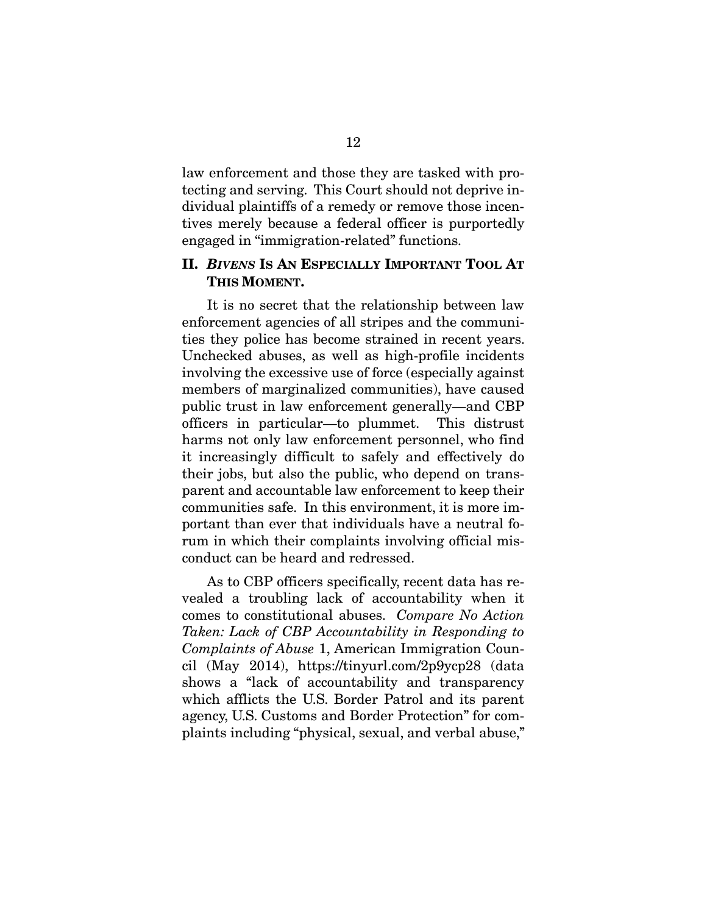law enforcement and those they are tasked with protecting and serving. This Court should not deprive individual plaintiffs of a remedy or remove those incentives merely because a federal officer is purportedly engaged in "immigration-related" functions.

#### **II.** *BIVENS* **IS AN ESPECIALLY IMPORTANT TOOL AT THIS MOMENT.**

It is no secret that the relationship between law enforcement agencies of all stripes and the communities they police has become strained in recent years. Unchecked abuses, as well as high-profile incidents involving the excessive use of force (especially against members of marginalized communities), have caused public trust in law enforcement generally—and CBP officers in particular—to plummet. This distrust harms not only law enforcement personnel, who find it increasingly difficult to safely and effectively do their jobs, but also the public, who depend on transparent and accountable law enforcement to keep their communities safe. In this environment, it is more important than ever that individuals have a neutral forum in which their complaints involving official misconduct can be heard and redressed.

As to CBP officers specifically, recent data has revealed a troubling lack of accountability when it comes to constitutional abuses. *Compare No Action Taken: Lack of CBP Accountability in Responding to Complaints of Abuse* 1, American Immigration Council (May 2014), https://tinyurl.com/2p9ycp28 (data shows a "lack of accountability and transparency which afflicts the U.S. Border Patrol and its parent agency, U.S. Customs and Border Protection" for complaints including "physical, sexual, and verbal abuse,"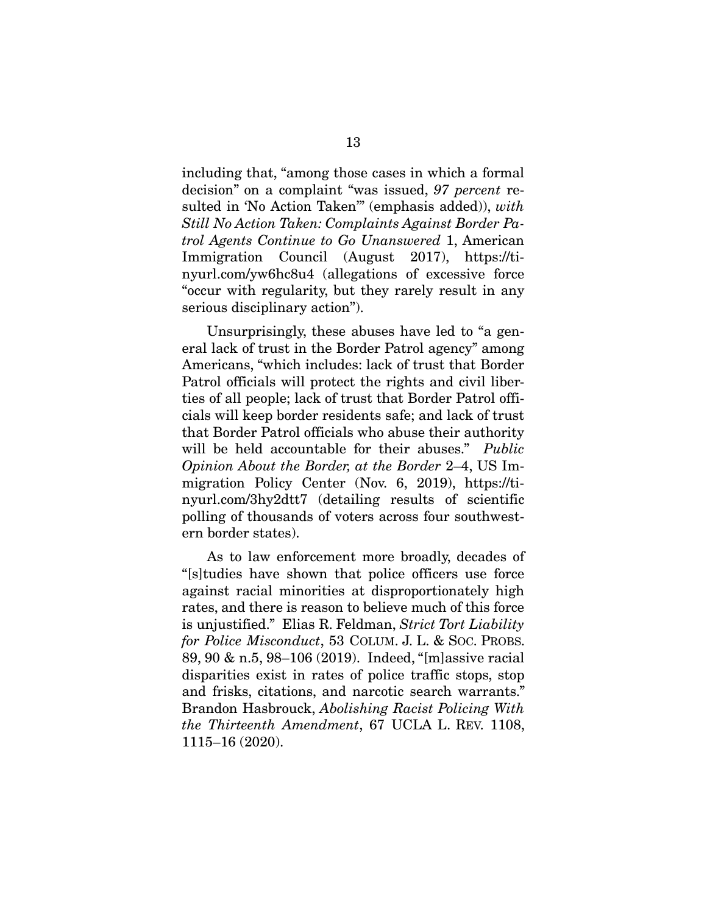including that, "among those cases in which a formal decision" on a complaint "was issued, *97 percent* resulted in 'No Action Taken'" (emphasis added)), *with Still No Action Taken: Complaints Against Border Patrol Agents Continue to Go Unanswered* 1, American Immigration Council (August 2017), https://tinyurl.com/yw6hc8u4 (allegations of excessive force "occur with regularity, but they rarely result in any serious disciplinary action").

Unsurprisingly, these abuses have led to "a general lack of trust in the Border Patrol agency" among Americans, "which includes: lack of trust that Border Patrol officials will protect the rights and civil liberties of all people; lack of trust that Border Patrol officials will keep border residents safe; and lack of trust that Border Patrol officials who abuse their authority will be held accountable for their abuses." *Public Opinion About the Border, at the Border* 2–4, US Immigration Policy Center (Nov. 6, 2019), https://tinyurl.com/3hy2dtt7 (detailing results of scientific polling of thousands of voters across four southwestern border states).

As to law enforcement more broadly, decades of "[s]tudies have shown that police officers use force against racial minorities at disproportionately high rates, and there is reason to believe much of this force is unjustified." Elias R. Feldman, *Strict Tort Liability for Police Misconduct*, 53 COLUM. J. L. & SOC. PROBS. 89, 90 & n.5, 98–106 (2019). Indeed, "[m]assive racial disparities exist in rates of police traffic stops, stop and frisks, citations, and narcotic search warrants." Brandon Hasbrouck, *Abolishing Racist Policing With the Thirteenth Amendment*, 67 UCLA L. REV. 1108, 1115–16 (2020).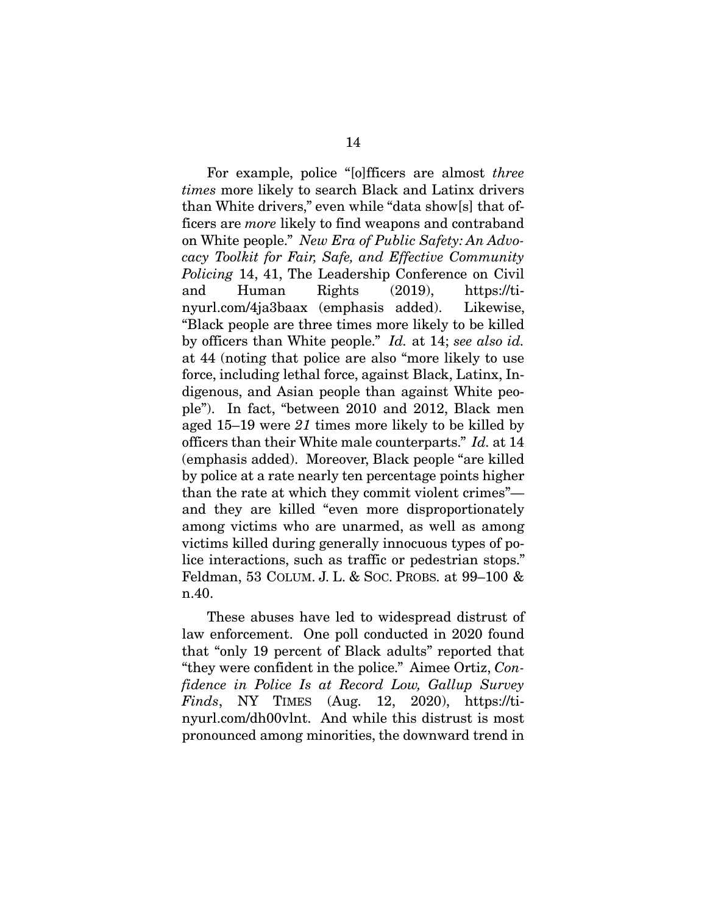For example, police "[o]fficers are almost *three times* more likely to search Black and Latinx drivers than White drivers," even while "data show[s] that officers are *more* likely to find weapons and contraband on White people." *New Era of Public Safety: An Advocacy Toolkit for Fair, Safe, and Effective Community Policing* 14, 41, The Leadership Conference on Civil and Human Rights (2019), https://tinyurl.com/4ja3baax (emphasis added). Likewise, "Black people are three times more likely to be killed by officers than White people." *Id.* at 14; *see also id.* at 44 (noting that police are also "more likely to use force, including lethal force, against Black, Latinx, Indigenous, and Asian people than against White people"). In fact, "between 2010 and 2012, Black men aged 15–19 were *21* times more likely to be killed by officers than their White male counterparts." *Id.* at 14 (emphasis added). Moreover, Black people "are killed by police at a rate nearly ten percentage points higher than the rate at which they commit violent crimes" and they are killed "even more disproportionately among victims who are unarmed, as well as among victims killed during generally innocuous types of police interactions, such as traffic or pedestrian stops." Feldman, 53 COLUM. J. L. & SOC. PROBS. at 99–100 & n.40.

These abuses have led to widespread distrust of law enforcement. One poll conducted in 2020 found that "only 19 percent of Black adults" reported that "they were confident in the police." Aimee Ortiz, *Confidence in Police Is at Record Low, Gallup Survey Finds*, NY TIMES (Aug. 12, 2020), https://tinyurl.com/dh00vlnt. And while this distrust is most pronounced among minorities, the downward trend in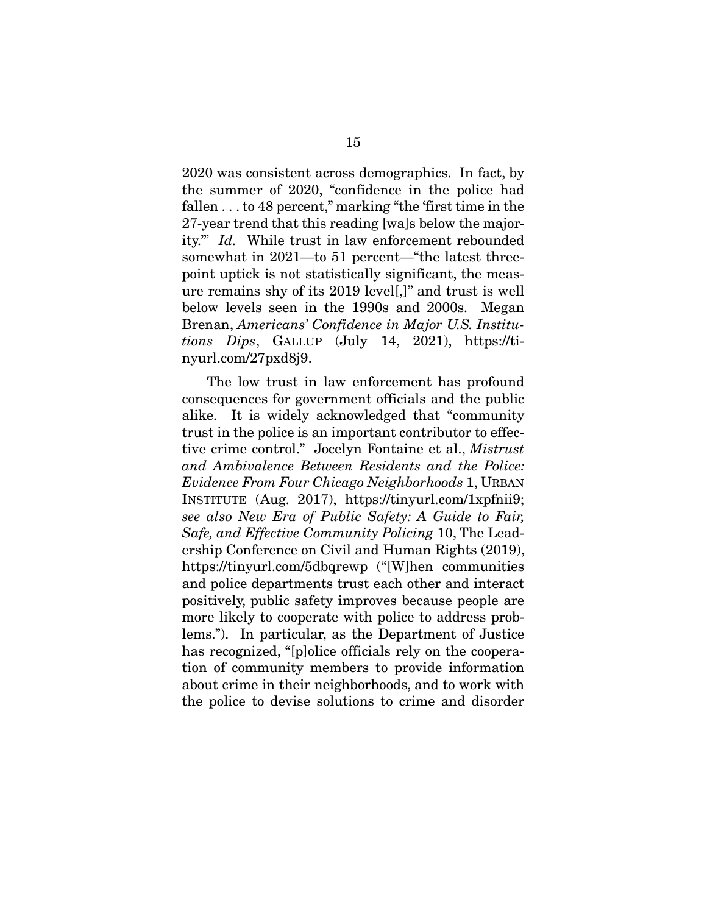2020 was consistent across demographics. In fact, by the summer of 2020, "confidence in the police had fallen . . . to 48 percent," marking "the 'first time in the 27-year trend that this reading [wa]s below the majority.'" *Id.* While trust in law enforcement rebounded somewhat in 2021—to 51 percent—"the latest threepoint uptick is not statistically significant, the measure remains shy of its 2019 level[,]" and trust is well below levels seen in the 1990s and 2000s. Megan Brenan, *Americans' Confidence in Major U.S. Institutions Dips*, GALLUP (July 14, 2021), https://tinyurl.com/27pxd8j9.

The low trust in law enforcement has profound consequences for government officials and the public alike. It is widely acknowledged that "community trust in the police is an important contributor to effective crime control." Jocelyn Fontaine et al., *Mistrust and Ambivalence Between Residents and the Police: Evidence From Four Chicago Neighborhoods* 1, URBAN INSTITUTE (Aug. 2017), https://tinyurl.com/1xpfnii9; *see also New Era of Public Safety: A Guide to Fair, Safe, and Effective Community Policing* 10, The Leadership Conference on Civil and Human Rights (2019), https://tinyurl.com/5dbqrewp ("[W]hen communities and police departments trust each other and interact positively, public safety improves because people are more likely to cooperate with police to address problems."). In particular, as the Department of Justice has recognized, "[p]olice officials rely on the cooperation of community members to provide information about crime in their neighborhoods, and to work with the police to devise solutions to crime and disorder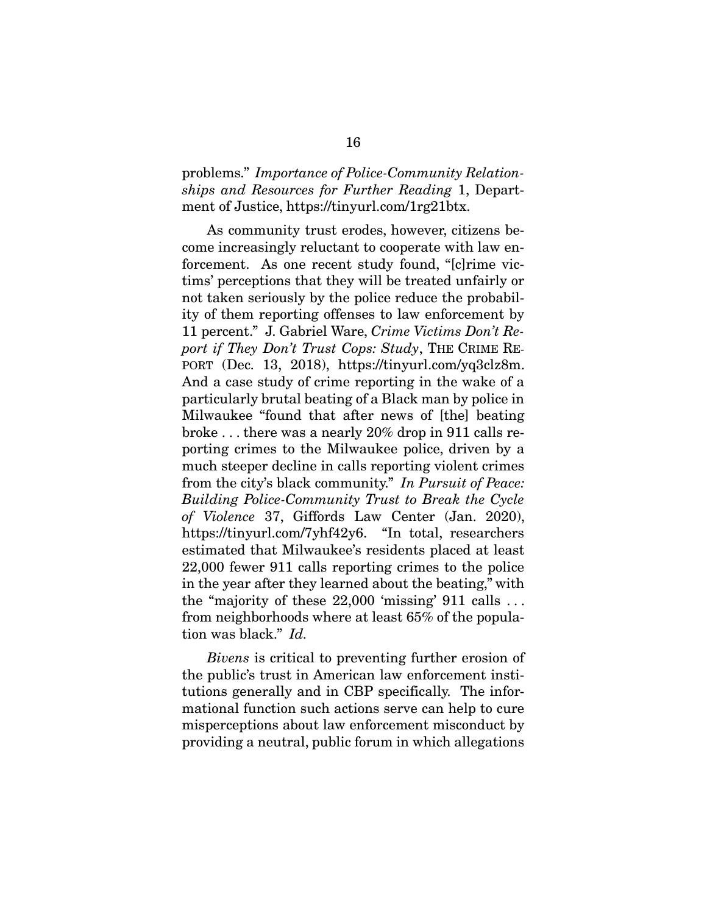### problems." *Importance of Police-Community Relationships and Resources for Further Reading* 1, Department of Justice, https://tinyurl.com/1rg21btx.

As community trust erodes, however, citizens become increasingly reluctant to cooperate with law enforcement. As one recent study found, "[c]rime victims' perceptions that they will be treated unfairly or not taken seriously by the police reduce the probability of them reporting offenses to law enforcement by 11 percent." J. Gabriel Ware, *Crime Victims Don't Report if They Don't Trust Cops: Study*, THE CRIME RE-PORT (Dec. 13, 2018), https://tinyurl.com/yq3clz8m. And a case study of crime reporting in the wake of a particularly brutal beating of a Black man by police in Milwaukee "found that after news of [the] beating broke . . . there was a nearly 20% drop in 911 calls reporting crimes to the Milwaukee police, driven by a much steeper decline in calls reporting violent crimes from the city's black community." *In Pursuit of Peace: Building Police-Community Trust to Break the Cycle of Violence* 37, Giffords Law Center (Jan. 2020), https://tinyurl.com/7yhf42y6. "In total, researchers estimated that Milwaukee's residents placed at least 22,000 fewer 911 calls reporting crimes to the police in the year after they learned about the beating," with the "majority of these 22,000 'missing' 911 calls . . . from neighborhoods where at least 65% of the population was black." *Id.*

*Bivens* is critical to preventing further erosion of the public's trust in American law enforcement institutions generally and in CBP specifically. The informational function such actions serve can help to cure misperceptions about law enforcement misconduct by providing a neutral, public forum in which allegations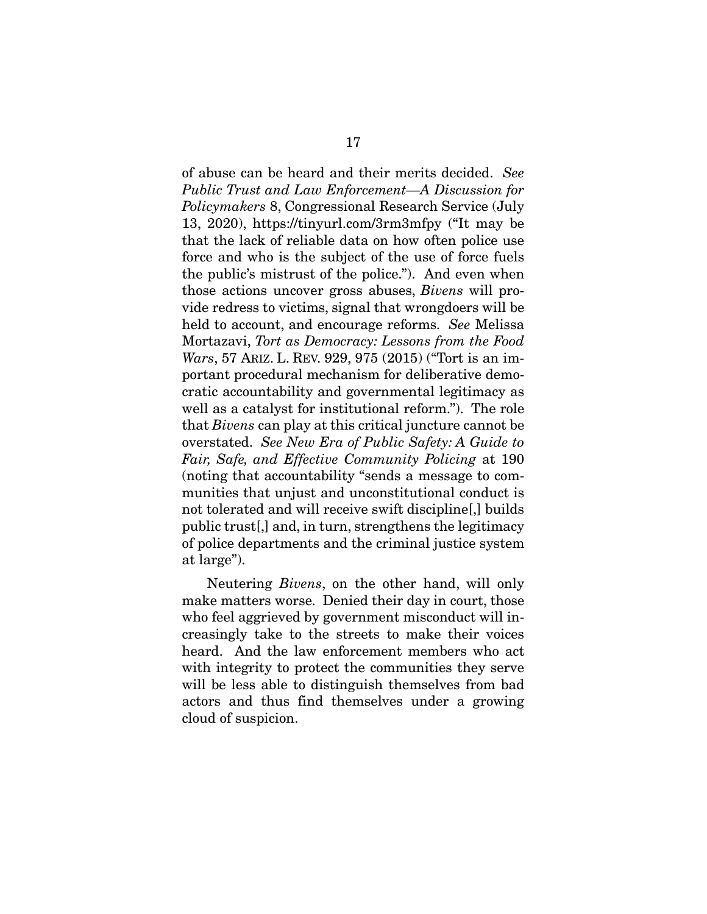of abuse can be heard and their merits decided. *See Public Trust and Law Enforcement—A Discussion for Policymakers* 8, Congressional Research Service (July 13, 2020), https://tinyurl.com/3rm3mfpy ("It may be that the lack of reliable data on how often police use force and who is the subject of the use of force fuels the public's mistrust of the police."). And even when those actions uncover gross abuses, *Bivens* will provide redress to victims, signal that wrongdoers will be held to account, and encourage reforms. *See* Melissa Mortazavi, *Tort as Democracy: Lessons from the Food Wars*, 57 ARIZ. L. REV. 929, 975 (2015) ("Tort is an important procedural mechanism for deliberative democratic accountability and governmental legitimacy as well as a catalyst for institutional reform."). The role that *Bivens* can play at this critical juncture cannot be overstated. *See New Era of Public Safety: A Guide to Fair, Safe, and Effective Community Policing* at 190 (noting that accountability "sends a message to communities that unjust and unconstitutional conduct is not tolerated and will receive swift discipline[,] builds public trust[,] and, in turn, strengthens the legitimacy of police departments and the criminal justice system at large").

Neutering *Bivens*, on the other hand, will only make matters worse. Denied their day in court, those who feel aggrieved by government misconduct will increasingly take to the streets to make their voices heard. And the law enforcement members who act with integrity to protect the communities they serve will be less able to distinguish themselves from bad actors and thus find themselves under a growing cloud of suspicion.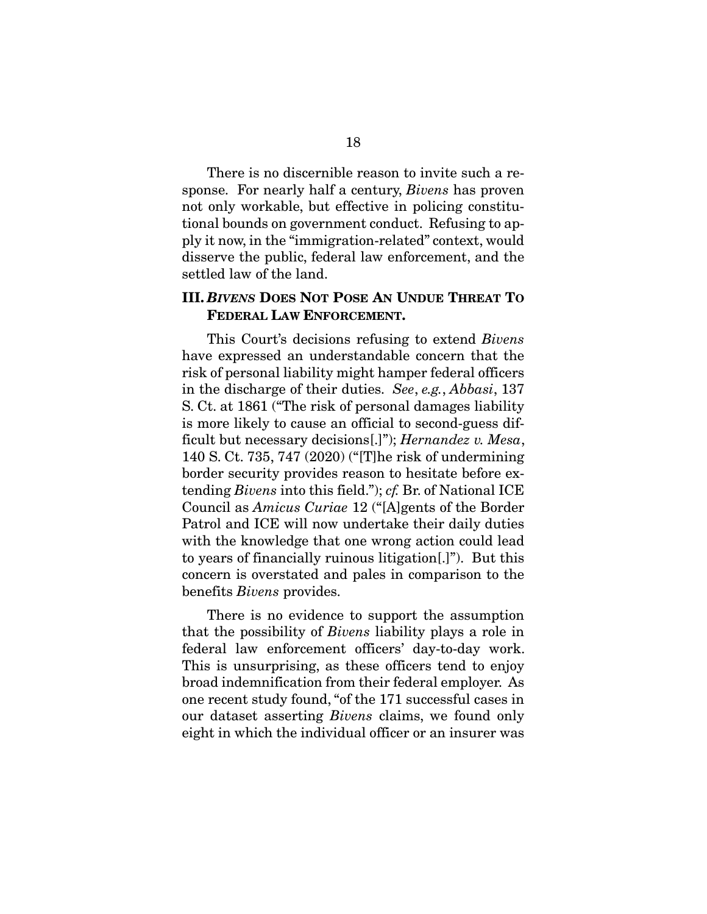There is no discernible reason to invite such a response. For nearly half a century, *Bivens* has proven not only workable, but effective in policing constitutional bounds on government conduct. Refusing to apply it now, in the "immigration-related" context, would disserve the public, federal law enforcement, and the settled law of the land.

#### **III.** *BIVENS* **DOES NOT POSE AN UNDUE THREAT TO FEDERAL LAW ENFORCEMENT.**

This Court's decisions refusing to extend *Bivens*  have expressed an understandable concern that the risk of personal liability might hamper federal officers in the discharge of their duties. *See*, *e.g.*, *Abbasi*, 137 S. Ct. at 1861 ("The risk of personal damages liability is more likely to cause an official to second-guess difficult but necessary decisions[.]"); *Hernandez v. Mesa*, 140 S. Ct. 735, 747 (2020) ("[T]he risk of undermining border security provides reason to hesitate before extending *Bivens* into this field."); *cf.* Br. of National ICE Council as *Amicus Curiae* 12 ("[A]gents of the Border Patrol and ICE will now undertake their daily duties with the knowledge that one wrong action could lead to years of financially ruinous litigation[.]"). But this concern is overstated and pales in comparison to the benefits *Bivens* provides.

There is no evidence to support the assumption that the possibility of *Bivens* liability plays a role in federal law enforcement officers' day-to-day work. This is unsurprising, as these officers tend to enjoy broad indemnification from their federal employer. As one recent study found, "of the 171 successful cases in our dataset asserting *Bivens* claims, we found only eight in which the individual officer or an insurer was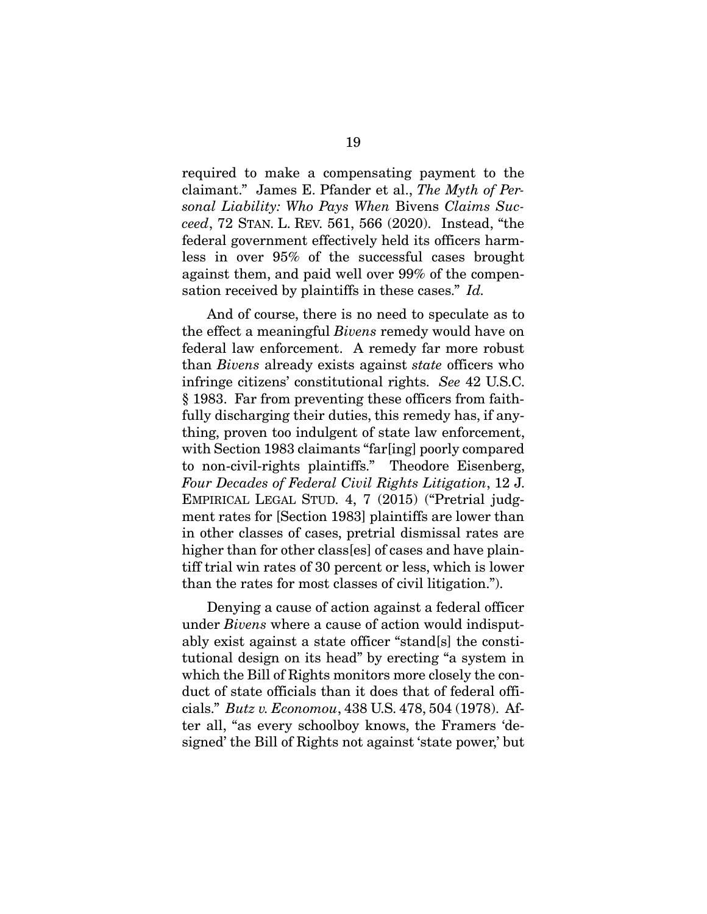required to make a compensating payment to the claimant." James E. Pfander et al., *The Myth of Personal Liability: Who Pays When* Bivens *Claims Succeed*, 72 STAN. L. REV. 561, 566 (2020). Instead, "the federal government effectively held its officers harmless in over 95% of the successful cases brought against them, and paid well over 99% of the compensation received by plaintiffs in these cases." *Id.*

And of course, there is no need to speculate as to the effect a meaningful *Bivens* remedy would have on federal law enforcement. A remedy far more robust than *Bivens* already exists against *state* officers who infringe citizens' constitutional rights. *See* 42 U.S.C. § 1983. Far from preventing these officers from faithfully discharging their duties, this remedy has, if anything, proven too indulgent of state law enforcement, with Section 1983 claimants "far[ing] poorly compared to non-civil-rights plaintiffs." Theodore Eisenberg, *Four Decades of Federal Civil Rights Litigation*, 12 J. EMPIRICAL LEGAL STUD. 4, 7 (2015) ("Pretrial judgment rates for [Section 1983] plaintiffs are lower than in other classes of cases, pretrial dismissal rates are higher than for other class[es] of cases and have plaintiff trial win rates of 30 percent or less, which is lower than the rates for most classes of civil litigation.").

Denying a cause of action against a federal officer under *Bivens* where a cause of action would indisputably exist against a state officer "stand[s] the constitutional design on its head" by erecting "a system in which the Bill of Rights monitors more closely the conduct of state officials than it does that of federal officials." *Butz v. Economou*, 438 U.S. 478, 504 (1978). After all, "as every schoolboy knows, the Framers 'designed' the Bill of Rights not against 'state power,' but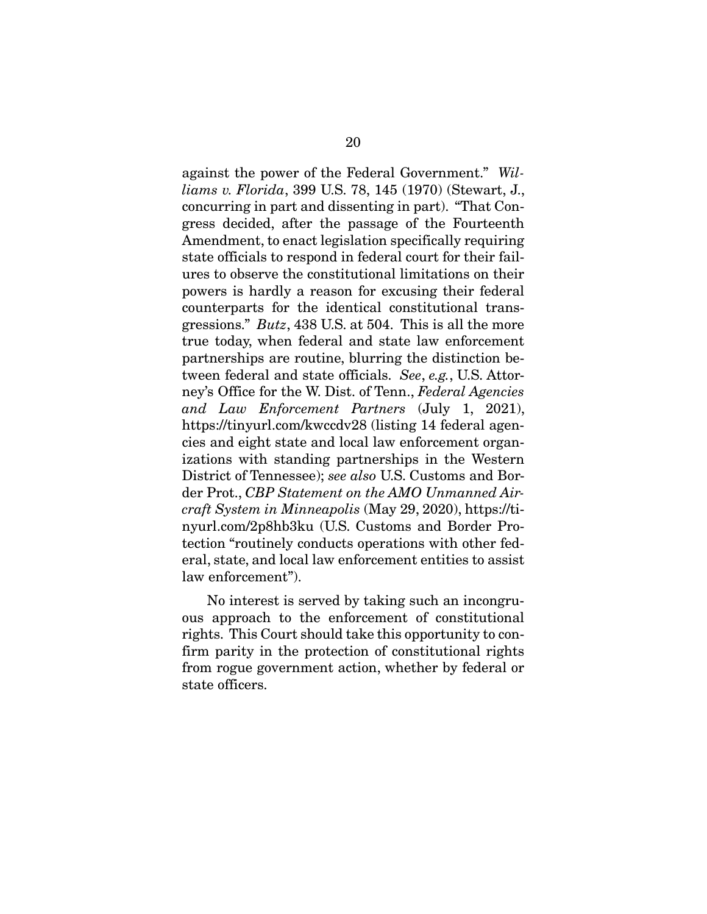against the power of the Federal Government." *Williams v. Florida*, 399 U.S. 78, 145 (1970) (Stewart, J., concurring in part and dissenting in part). "That Congress decided, after the passage of the Fourteenth Amendment, to enact legislation specifically requiring state officials to respond in federal court for their failures to observe the constitutional limitations on their powers is hardly a reason for excusing their federal counterparts for the identical constitutional transgressions." *Butz*, 438 U.S. at 504. This is all the more true today, when federal and state law enforcement partnerships are routine, blurring the distinction between federal and state officials. *See*, *e.g.*, U.S. Attorney's Office for the W. Dist. of Tenn., *Federal Agencies and Law Enforcement Partners* (July 1, 2021), https://tinyurl.com/kwccdv28 (listing 14 federal agencies and eight state and local law enforcement organizations with standing partnerships in the Western District of Tennessee); *see also* U.S. Customs and Border Prot., *CBP Statement on the AMO Unmanned Aircraft System in Minneapolis* (May 29, 2020), https://tinyurl.com/2p8hb3ku (U.S. Customs and Border Protection "routinely conducts operations with other federal, state, and local law enforcement entities to assist law enforcement").

No interest is served by taking such an incongruous approach to the enforcement of constitutional rights. This Court should take this opportunity to confirm parity in the protection of constitutional rights from rogue government action, whether by federal or state officers.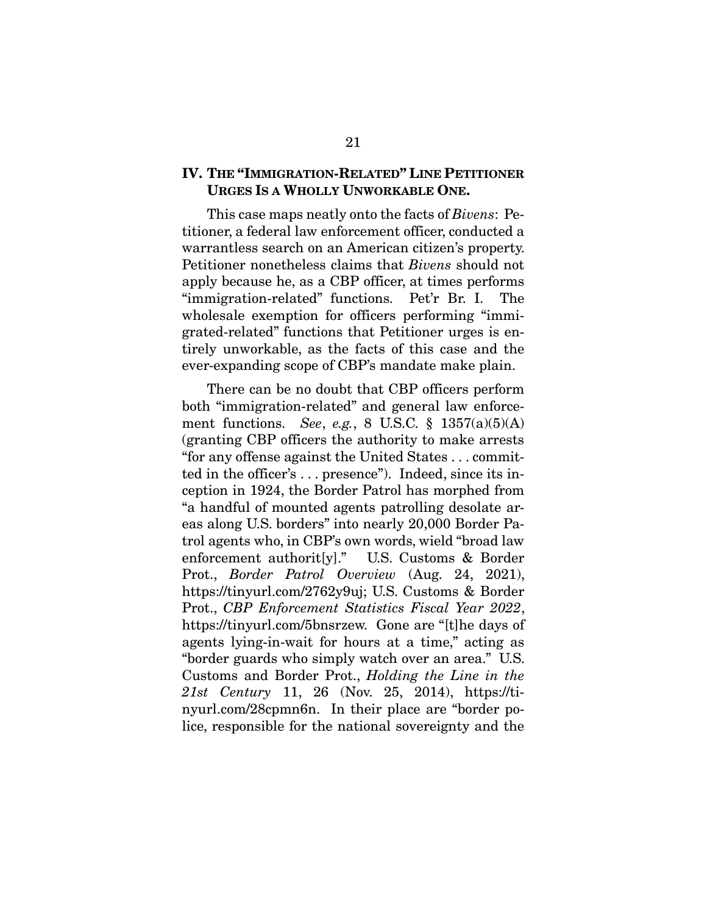### **IV. THE "IMMIGRATION-RELATED" LINE PETITIONER URGES IS A WHOLLY UNWORKABLE ONE.**

This case maps neatly onto the facts of *Bivens*: Petitioner, a federal law enforcement officer, conducted a warrantless search on an American citizen's property. Petitioner nonetheless claims that *Bivens* should not apply because he, as a CBP officer, at times performs "immigration-related" functions. Pet'r Br. I. The wholesale exemption for officers performing "immigrated-related" functions that Petitioner urges is entirely unworkable, as the facts of this case and the ever-expanding scope of CBP's mandate make plain.

There can be no doubt that CBP officers perform both "immigration-related" and general law enforcement functions. *See*, *e.g.*, 8 U.S.C. § 1357(a)(5)(A) (granting CBP officers the authority to make arrests "for any offense against the United States . . . committed in the officer's . . . presence"). Indeed, since its inception in 1924, the Border Patrol has morphed from "a handful of mounted agents patrolling desolate areas along U.S. borders" into nearly 20,000 Border Patrol agents who, in CBP's own words, wield "broad law enforcement authorit[y]." U.S. Customs & Border Prot., *Border Patrol Overview* (Aug. 24, 2021), https://tinyurl.com/2762y9uj; U.S. Customs & Border Prot., *CBP Enforcement Statistics Fiscal Year 2022*, https://tinyurl.com/5bnsrzew. Gone are "[t]he days of agents lying-in-wait for hours at a time," acting as "border guards who simply watch over an area." U.S. Customs and Border Prot., *Holding the Line in the 21st Century* 11, 26 (Nov. 25, 2014), https://tinyurl.com/28cpmn6n. In their place are "border police, responsible for the national sovereignty and the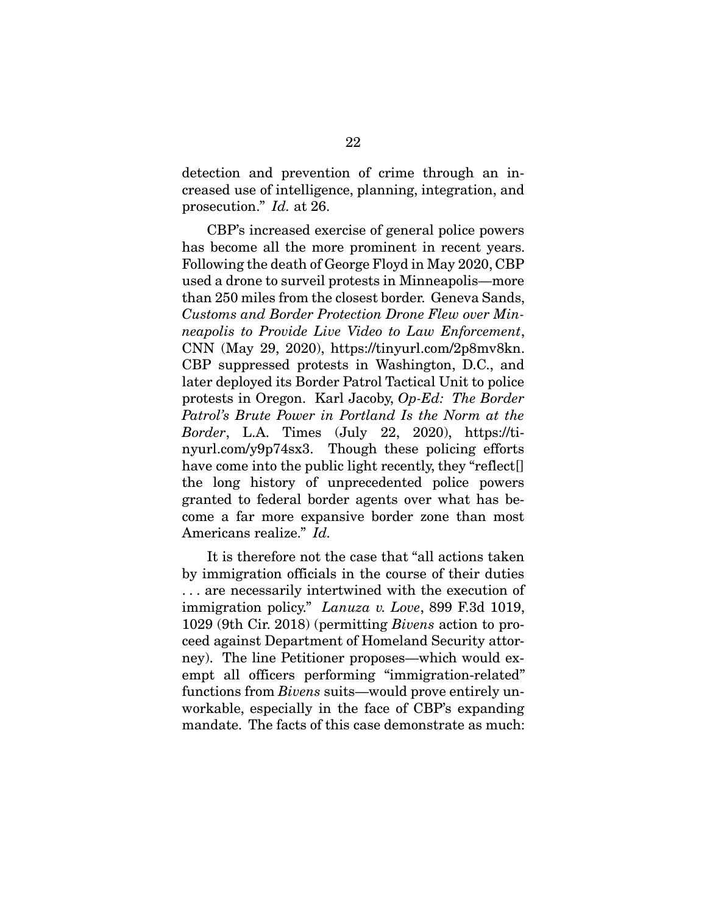detection and prevention of crime through an increased use of intelligence, planning, integration, and prosecution." *Id.* at 26.

CBP's increased exercise of general police powers has become all the more prominent in recent years. Following the death of George Floyd in May 2020, CBP used a drone to surveil protests in Minneapolis—more than 250 miles from the closest border. Geneva Sands, *Customs and Border Protection Drone Flew over Minneapolis to Provide Live Video to Law Enforcement*, CNN (May 29, 2020), https://tinyurl.com/2p8mv8kn. CBP suppressed protests in Washington, D.C., and later deployed its Border Patrol Tactical Unit to police protests in Oregon. Karl Jacoby, *Op-Ed: The Border Patrol's Brute Power in Portland Is the Norm at the Border*, L.A. Times (July 22, 2020), https://tinyurl.com/y9p74sx3. Though these policing efforts have come into the public light recently, they "reflect<sup>[]</sup> the long history of unprecedented police powers granted to federal border agents over what has become a far more expansive border zone than most Americans realize." *Id.* 

It is therefore not the case that "all actions taken by immigration officials in the course of their duties . . . are necessarily intertwined with the execution of immigration policy." *Lanuza v. Love*, 899 F.3d 1019, 1029 (9th Cir. 2018) (permitting *Bivens* action to proceed against Department of Homeland Security attorney). The line Petitioner proposes—which would exempt all officers performing "immigration-related" functions from *Bivens* suits—would prove entirely unworkable, especially in the face of CBP's expanding mandate. The facts of this case demonstrate as much: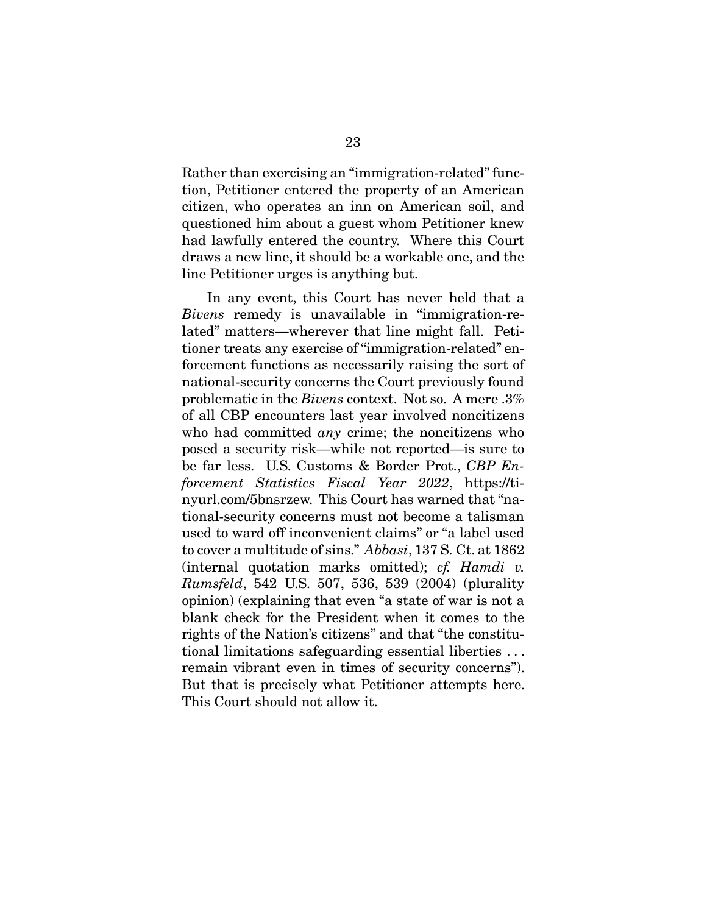Rather than exercising an "immigration-related" function, Petitioner entered the property of an American citizen, who operates an inn on American soil, and questioned him about a guest whom Petitioner knew had lawfully entered the country. Where this Court draws a new line, it should be a workable one, and the line Petitioner urges is anything but.

In any event, this Court has never held that a *Bivens* remedy is unavailable in "immigration-related" matters—wherever that line might fall. Petitioner treats any exercise of "immigration-related" enforcement functions as necessarily raising the sort of national-security concerns the Court previously found problematic in the *Bivens* context. Not so. A mere .3% of all CBP encounters last year involved noncitizens who had committed *any* crime; the noncitizens who posed a security risk—while not reported—is sure to be far less. U.S. Customs & Border Prot., *CBP Enforcement Statistics Fiscal Year 2022*, https://tinyurl.com/5bnsrzew. This Court has warned that "national-security concerns must not become a talisman used to ward off inconvenient claims" or "a label used to cover a multitude of sins." *Abbasi*, 137 S. Ct. at 1862 (internal quotation marks omitted); *cf. Hamdi v. Rumsfeld*, 542 U.S. 507, 536, 539 (2004) (plurality opinion) (explaining that even "a state of war is not a blank check for the President when it comes to the rights of the Nation's citizens" and that "the constitutional limitations safeguarding essential liberties . . . remain vibrant even in times of security concerns"). But that is precisely what Petitioner attempts here. This Court should not allow it.